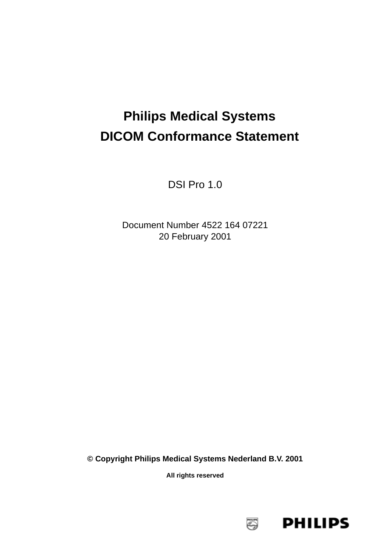# **Philips Medical Systems DICOM Conformance Statement**

DSI Pro 1.0

Document Number 4522 164 07221 20 February 2001

**© Copyright Philips Medical Systems Nederland B.V. 2001**

**All rights reserved**

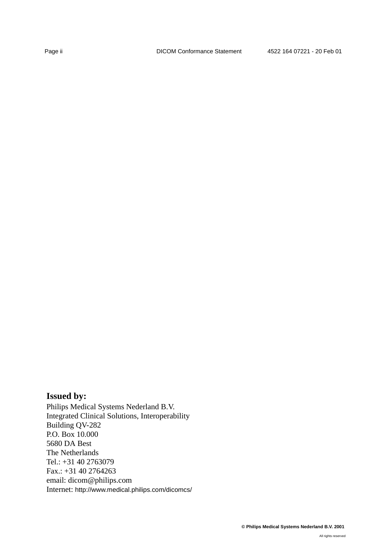# **Issued by:**

Philips Medical Systems Nederland B.V. Integrated Clinical Solutions, Interoperability Building QV-282 P.O. Box 10.000 5680 DA Best The Netherlands Tel.: +31 40 2763079 Fax.: +31 40 2764263 email: dicom@philips.com Internet: http://www.medical.philips.com/dicomcs/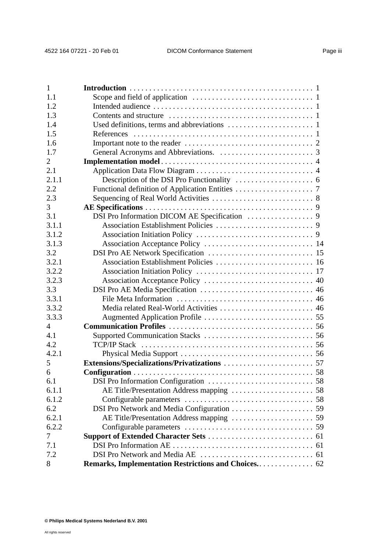| 1              |  |
|----------------|--|
| 1.1            |  |
| 1.2            |  |
| 1.3            |  |
| 1.4            |  |
| 1.5            |  |
| 1.6            |  |
| 1.7            |  |
| $\overline{2}$ |  |
| 2.1            |  |
| 2.1.1          |  |
| 2.2            |  |
| 2.3            |  |
| 3              |  |
| 3.1            |  |
| 3.1.1          |  |
| 3.1.2          |  |
| 3.1.3          |  |
| 3.2            |  |
| 3.2.1          |  |
| 3.2.2          |  |
| 3.2.3          |  |
| 3.3            |  |
| 3.3.1          |  |
| 3.3.2          |  |
| 3.3.3          |  |
| 4              |  |
| 4.1            |  |
| 4.2            |  |
| 4.2.1          |  |
| 5              |  |
| 6              |  |
| 6.1            |  |
| 6.1.1          |  |
| 6.1.2          |  |
| 6.2            |  |
| 6.2.1          |  |
| 6.2.2          |  |
| 7              |  |
| 7.1            |  |
| 7.2            |  |
| 8              |  |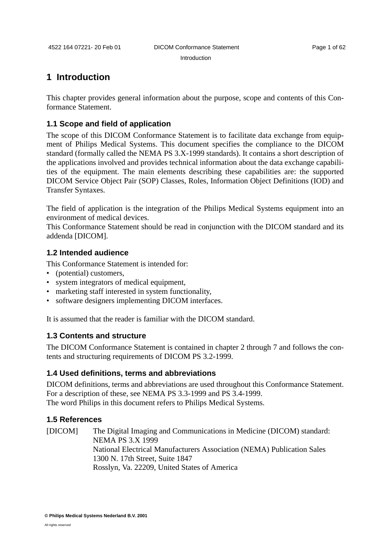Introduction

# <span id="page-4-0"></span>**1 Introduction**

This chapter provides general information about the purpose, scope and contents of this Conformance Statement.

# <span id="page-4-1"></span>**1.1 Scope and field of application**

The scope of this DICOM Conformance Statement is to facilitate data exchange from equipment of Philips Medical Systems. This document specifies the compliance to the DICOM standard (formally called the NEMA PS 3.X-1999 standards). It contains a short description of the applications involved and provides technical information about the data exchange capabilities of the equipment. The main elements describing these capabilities are: the supported DICOM Service Object Pair (SOP) Classes, Roles, Information Object Definitions (IOD) and Transfer Syntaxes.

The field of application is the integration of the Philips Medical Systems equipment into an environment of medical devices.

This Conformance Statement should be read in conjunction with the DICOM standard and its addenda [DICOM].

# <span id="page-4-2"></span>**1.2 Intended audience**

This Conformance Statement is intended for:

- (potential) customers,
- system integrators of medical equipment,
- marketing staff interested in system functionality,
- software designers implementing DICOM interfaces.

It is assumed that the reader is familiar with the DICOM standard.

#### <span id="page-4-3"></span>**1.3 Contents and structure**

The DICOM Conformance Statement is contained in chapter 2 through 7 and follows the contents and structuring requirements of DICOM PS 3.2-1999.

#### <span id="page-4-4"></span>**1.4 Used definitions, terms and abbreviations**

DICOM definitions, terms and abbreviations are used throughout this Conformance Statement. For a description of these, see NEMA PS 3.3-1999 and PS 3.4-1999. The word Philips in this document refers to Philips Medical Systems.

# <span id="page-4-5"></span>**1.5 References**

[DICOM] The Digital Imaging and Communications in Medicine (DICOM) standard: NEMA PS 3.X 1999 National Electrical Manufacturers Association (NEMA) Publication Sales 1300 N. 17th Street, Suite 1847 Rosslyn, Va. 22209, United States of America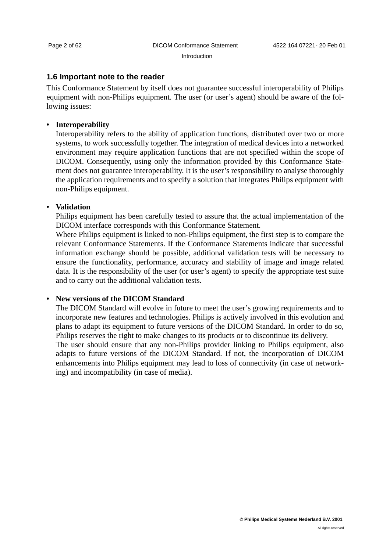#### Introduction

#### <span id="page-5-0"></span>**1.6 Important note to the reader**

This Conformance Statement by itself does not guarantee successful interoperability of Philips equipment with non-Philips equipment. The user (or user's agent) should be aware of the following issues:

#### **• Interoperability**

Interoperability refers to the ability of application functions, distributed over two or more systems, to work successfully together. The integration of medical devices into a networked environment may require application functions that are not specified within the scope of DICOM. Consequently, using only the information provided by this Conformance Statement does not guarantee interoperability. It is the user's responsibility to analyse thoroughly the application requirements and to specify a solution that integrates Philips equipment with non-Philips equipment.

#### **• Validation**

Philips equipment has been carefully tested to assure that the actual implementation of the DICOM interface corresponds with this Conformance Statement.

Where Philips equipment is linked to non-Philips equipment, the first step is to compare the relevant Conformance Statements. If the Conformance Statements indicate that successful information exchange should be possible, additional validation tests will be necessary to ensure the functionality, performance, accuracy and stability of image and image related data. It is the responsibility of the user (or user's agent) to specify the appropriate test suite and to carry out the additional validation tests.

### **• New versions of the DICOM Standard**

The DICOM Standard will evolve in future to meet the user's growing requirements and to incorporate new features and technologies. Philips is actively involved in this evolution and plans to adapt its equipment to future versions of the DICOM Standard. In order to do so, Philips reserves the right to make changes to its products or to discontinue its delivery. The user should ensure that any non-Philips provider linking to Philips equipment, also adapts to future versions of the DICOM Standard. If not, the incorporation of DICOM enhancements into Philips equipment may lead to loss of connectivity (in case of networking) and incompatibility (in case of media).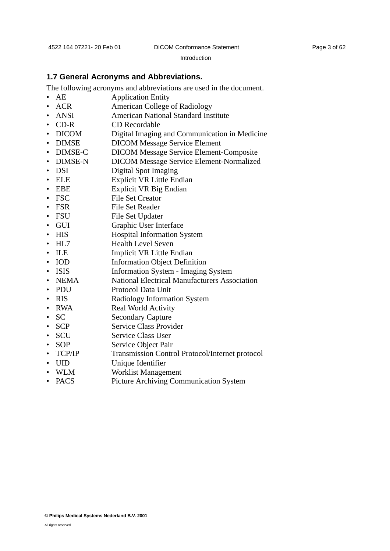Introduction

#### <span id="page-6-0"></span>**1.7 General Acronyms and Abbreviations.**

The following acronyms and abbreviations are used in the document.

- AE Application Entity
- ACR American College of Radiology
- ANSI American National Standard Institute
- CD-R CD Recordable
- DICOM Digital Imaging and Communication in Medicine
- DIMSE DICOM Message Service Element
- DIMSE-C DICOM Message Service Element-Composite
- DIMSE-N DICOM Message Service Element-Normalized
- DSI Digital Spot Imaging
- ELE Explicit VR Little Endian
- EBE Explicit VR Big Endian
- FSC File Set Creator
- FSR File Set Reader
- FSU File Set Updater
- GUI Graphic User Interface
- 
- HIS Hospital Information System
- HL7 Health Level Seven
- ILE Implicit VR Little Endian
- IOD Information Object Definition
- ISIS Information System Imaging System
- NEMA National Electrical Manufacturers Association
- PDU Protocol Data Unit
- RIS Radiology Information System
- RWA Real World Activity
- SC Secondary Capture
- SCP Service Class Provider
- SCU Service Class User
- SOP Service Object Pair
- TCP/IP Transmission Control Protocol/Internet protocol
- UID Unique Identifier
- WLM Worklist Management
- PACS Picture Archiving Communication System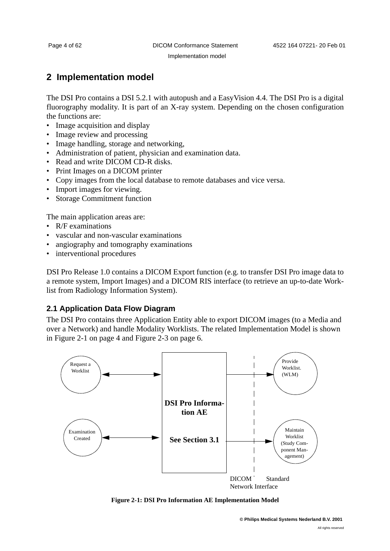# <span id="page-7-0"></span>**2 Implementation model**

The DSI Pro contains a DSI 5.2.1 with autopush and a EasyVision 4.4. The DSI Pro is a digital fluorography modality. It is part of an X-ray system. Depending on the chosen configuration the functions are:

- Image acquisition and display
- Image review and processing
- Image handling, storage and networking,
- Administration of patient, physician and examination data.
- Read and write DICOM CD-R disks.
- Print Images on a DICOM printer
- Copy images from the local database to remote databases and vice versa.
- Import images for viewing.
- Storage Commitment function

The main application areas are:

- R/F examinations
- vascular and non-vascular examinations
- angiography and tomography examinations
- interventional procedures

DSI Pro Release 1.0 contains a DICOM Export function (e.g. to transfer DSI Pro image data to a remote system, Import Images) and a DICOM RIS interface (to retrieve an up-to-date Worklist from Radiology Information System).

# <span id="page-7-1"></span>**2.1 Application Data Flow Diagram**

The DSI Pro contains three Application Entity able to export DICOM images (to a Media and over a Network) and handle Modality Worklists. The related Implementation Model is shown in [Figure 2-1 on page 4](#page-7-2) and [Figure 2-3 on page 6](#page-9-1).



<span id="page-7-2"></span>**Figure 2-1: DSI Pro Information AE Implementation Model**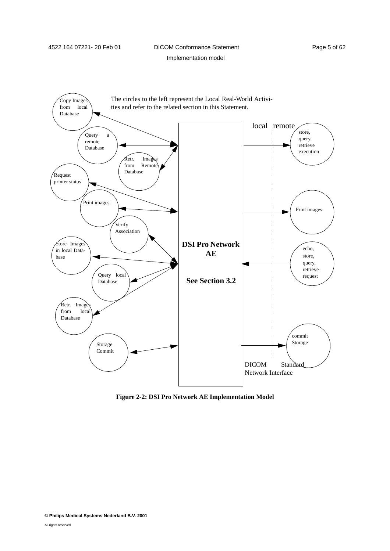# 4522 164 07221- 20 Feb 01 DICOM Conformance Statement Page 5 of 62

Implementation model



**Figure 2-2: DSI Pro Network AE Implementation Model**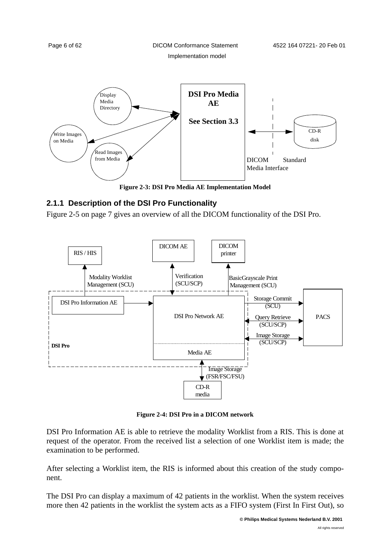

# <span id="page-9-1"></span><span id="page-9-0"></span>**2.1.1 Description of the DSI Pro Functionality**

[Figure 2-5 on page 7](#page-10-1) gives an overview of all the DICOM functionality of the DSI Pro.



**Figure 2-4: DSI Pro in a DICOM network**

DSI Pro Information AE is able to retrieve the modality Worklist from a RIS. This is done at request of the operator. From the received list a selection of one Worklist item is made; the examination to be performed.

After selecting a Worklist item, the RIS is informed about this creation of the study component.

The DSI Pro can display a maximum of 42 patients in the worklist. When the system receives more then 42 patients in the worklist the system acts as a FIFO system (First In First Out), so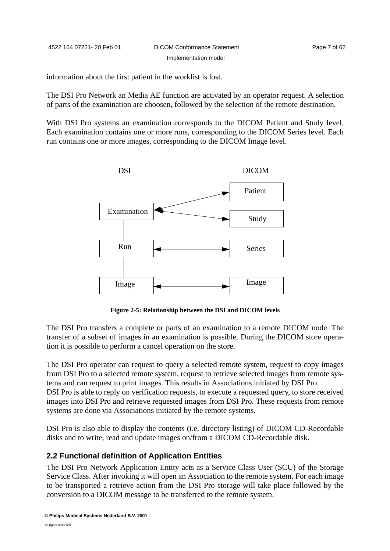information about the first patient in the worklist is lost.

The DSI Pro Network an Media AE function are activated by an operator request. A selection of parts of the examination are choosen, followed by the selection of the remote destination.

With DSI Pro systems an examination corresponds to the DICOM Patient and Study level. Each examination contains one or more runs, corresponding to the DICOM Series level. Each run contains one or more images, corresponding to the DICOM Image level.



**Figure 2-5: Relationship between the DSI and DICOM levels** 

<span id="page-10-1"></span>The DSI Pro transfers a complete or parts of an examination to a remote DICOM node. The transfer of a subset of images in an examination is possible. During the DICOM store operation it is possible to perform a cancel operation on the store.

The DSI Pro operator can request to query a selected remote system, request to copy images from DSI Pro to a selected remote system, request to retrieve selected images from remote systems and can request to print images. This results in Associations initiated by DSI Pro. DSI Pro is able to reply on verification requests, to execute a requested query, to store received images into DSI Pro and retrieve requested images from DSI Pro. These requests from remote systems are done via Associations initiated by the remote systems.

DSI Pro is also able to display the contents (i.e. directory listing) of DICOM CD-Recordable disks and to write, read and update images on/from a DICOM CD-Recordable disk.

#### <span id="page-10-0"></span>**2.2 Functional definition of Application Entities**

The DSI Pro Network Application Entity acts as a Service Class User (SCU) of the Storage Service Class. After invoking it will open an Association to the remote system. For each image to be transported a retrieve action from the DSI Pro storage will take place followed by the conversion to a DICOM message to be transferred to the remote system.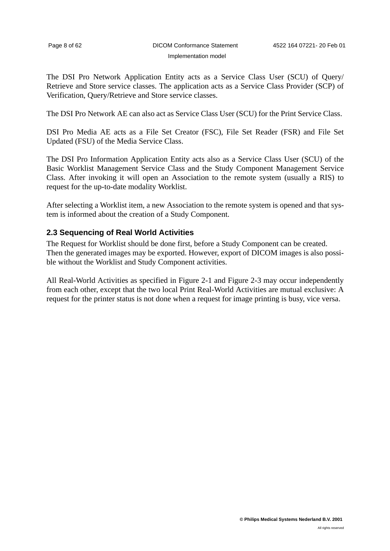The DSI Pro Network Application Entity acts as a Service Class User (SCU) of Query/ Retrieve and Store service classes. The application acts as a Service Class Provider (SCP) of Verification, Query/Retrieve and Store service classes.

The DSI Pro Network AE can also act as Service Class User (SCU) for the Print Service Class.

DSI Pro Media AE acts as a File Set Creator (FSC), File Set Reader (FSR) and File Set Updated (FSU) of the Media Service Class.

The DSI Pro Information Application Entity acts also as a Service Class User (SCU) of the Basic Worklist Management Service Class and the Study Component Management Service Class. After invoking it will open an Association to the remote system (usually a RIS) to request for the up-to-date modality Worklist.

After selecting a Worklist item, a new Association to the remote system is opened and that system is informed about the creation of a Study Component.

#### <span id="page-11-0"></span>**2.3 Sequencing of Real World Activities**

The Request for Worklist should be done first, before a Study Component can be created. Then the generated images may be exported. However, export of DICOM images is also possible without the Worklist and Study Component activities.

All Real-World Activities as specified in [Figure 2-1](#page-7-2) and [Figure 2-3](#page-9-1) may occur independently from each other, except that the two local Print Real-World Activities are mutual exclusive: A request for the printer status is not done when a request for image printing is busy, vice versa.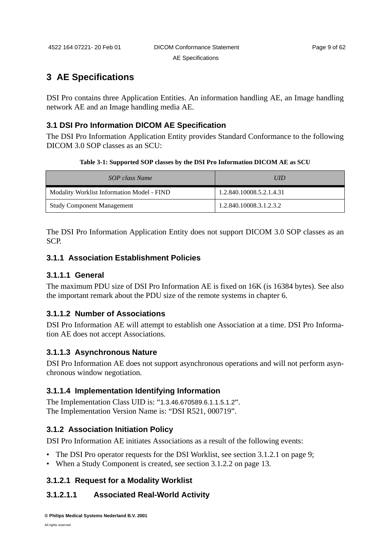# <span id="page-12-0"></span>**3 AE Specifications**

DSI Pro contains three Application Entities. An information handling AE, an Image handling network AE and an Image handling media AE.

# <span id="page-12-1"></span>**3.1 DSI Pro Information DICOM AE Specification**

The DSI Pro Information Application Entity provides Standard Conformance to the following DICOM 3.0 SOP classes as an SCU:

| Table 3-1: Supported SOP classes by the DSI Pro Information DICOM AE as SCU |  |  |  |
|-----------------------------------------------------------------------------|--|--|--|
|-----------------------------------------------------------------------------|--|--|--|

<span id="page-12-5"></span>

| SOP class Name                             | <b>UID</b>               |
|--------------------------------------------|--------------------------|
| Modality Worklist Information Model - FIND | 1.2.840.10008.5.2.1.4.31 |
| <b>Study Component Management</b>          | 1.2.840.10008.3.1.2.3.2  |

The DSI Pro Information Application Entity does not support DICOM 3.0 SOP classes as an SCP.

# <span id="page-12-2"></span>**3.1.1 Association Establishment Policies**

# **3.1.1.1 General**

The maximum PDU size of DSI Pro Information AE is fixed on 16K (is 16384 bytes). See also the important remark about the PDU size of the remote systems in chapter 6.

# **3.1.1.2 Number of Associations**

DSI Pro Information AE will attempt to establish one Association at a time. DSI Pro Information AE does not accept Associations.

# **3.1.1.3 Asynchronous Nature**

DSI Pro Information AE does not support asynchronous operations and will not perform asynchronous window negotiation.

# **3.1.1.4 Implementation Identifying Information**

The Implementation Class UID is: "1.3.46.670589.6.1.1.5.1.2". The Implementation Version Name is: "DSI R521, 000719".

# <span id="page-12-3"></span>**3.1.2 Association Initiation Policy**

DSI Pro Information AE initiates Associations as a result of the following events:

- The DSI Pro operator requests for the DSI Worklist, see [section 3.1.2.1 on page 9;](#page-12-4)
- When a Study Component is created, see [section 3.1.2.2 on page 13](#page-16-0).

# <span id="page-12-4"></span>**3.1.2.1 Request for a Modality Worklist**

# **3.1.2.1.1 Associated Real-World Activity**

**© Philips Medical Systems Nederland B.V. 2001**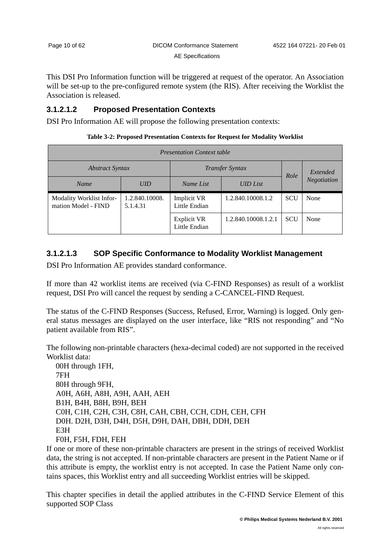This DSI Pro Information function will be triggered at request of the operator. An Association will be set-up to the pre-configured remote system (the RIS). After receiving the Worklist the Association is released.

# **3.1.2.1.2 Proposed Presentation Contexts**

DSI Pro Information AE will propose the following presentation contexts:

| Table 3-2: Proposed Presentation Contexts for Request for Modality Worklist |  |  |  |  |
|-----------------------------------------------------------------------------|--|--|--|--|
|-----------------------------------------------------------------------------|--|--|--|--|

| <b>Presentation Context table</b>               |                            |                                     |                     |            |             |  |
|-------------------------------------------------|----------------------------|-------------------------------------|---------------------|------------|-------------|--|
| <i><b>Abstract Syntax</b></i>                   |                            | <b>Transfer Syntax</b>              |                     | Role       | Extended    |  |
| <b>Name</b>                                     | <b>UID</b>                 | Name List                           | <b>UID</b> List     |            | Negotiation |  |
| Modality Worklist Infor-<br>mation Model - FIND | 1.2.840.10008.<br>5.1.4.31 | <b>Implicit VR</b><br>Little Endian | 1.2.840.10008.1.2   | <b>SCU</b> | None        |  |
|                                                 |                            | <b>Explicit VR</b><br>Little Endian | 1.2.840.10008.1.2.1 | <b>SCU</b> | None        |  |

# <span id="page-13-0"></span>**3.1.2.1.3 SOP Specific Conformance to Modality Worklist Management**

DSI Pro Information AE provides standard conformance.

If more than 42 worklist items are received (via C-FIND Responses) as result of a worklist request, DSI Pro will cancel the request by sending a C-CANCEL-FIND Request.

The status of the C-FIND Responses (Success, Refused, Error, Warning) is logged. Only general status messages are displayed on the user interface, like "RIS not responding" and "No patient available from RIS".

The following non-printable characters (hexa-decimal coded) are not supported in the received Worklist data:

00H through 1FH, 7FH 80H through 9FH, A0H, A6H, A8H, A9H, AAH, AEH B1H, B4H, B8H, B9H, BEH C0H, C1H, C2H, C3H, C8H, CAH, CBH, CCH, CDH, CEH, CFH D0H. D2H, D3H, D4H, D5H, D9H, DAH, DBH, DDH, DEH E3H F0H, F5H, FDH, FEH

If one or more of these non-printable characters are present in the strings of received Worklist data, the string is not accepted. If non-printable characters are present in the Patient Name or if this attribute is empty, the worklist entry is not accepted. In case the Patient Name only contains spaces, this Worklist entry and all succeeding Worklist entries will be skipped.

This chapter specifies in detail the applied attributes in the C-FIND Service Element of this supported SOP Class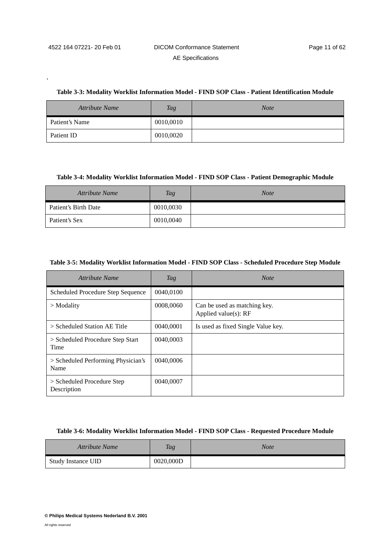.

#### **Table 3-3: Modality Worklist Information Model - FIND SOP Class - Patient Identification Module**

| <b>Attribute Name</b> | Tag       | <b>Note</b> |
|-----------------------|-----------|-------------|
| Patient's Name        | 0010,0010 |             |
| Patient ID            | 0010,0020 |             |

#### **Table 3-4: Modality Worklist Information Model - FIND SOP Class - Patient Demographic Module**

| <b>Attribute Name</b> | Tag       | <b>Note</b> |
|-----------------------|-----------|-------------|
| Patient's Birth Date  | 0010,0030 |             |
| Patient's Sex         | 0010,0040 |             |

#### <span id="page-14-0"></span>**Table 3-5: Modality Worklist Information Model - FIND SOP Class - Scheduled Procedure Step Module**

| Attribute Name                              | Tag       | <b>Note</b>                                          |
|---------------------------------------------|-----------|------------------------------------------------------|
| Scheduled Procedure Step Sequence           | 0040,0100 |                                                      |
| $>$ Modality                                | 0008,0060 | Can be used as matching key.<br>Applied value(s): RF |
| $>$ Scheduled Station AE Title              | 0040,0001 | Is used as fixed Single Value key.                   |
| > Scheduled Procedure Step Start<br>Time    | 0040,0003 |                                                      |
| > Scheduled Performing Physician's<br>Name  | 0040,0006 |                                                      |
| $>$ Scheduled Procedure Step<br>Description | 0040,0007 |                                                      |

#### **Table 3-6: Modality Worklist Information Model - FIND SOP Class - Requested Procedure Module**

| <b>Attribute Name</b>     | <b>Tag</b> | <b>Note</b> |
|---------------------------|------------|-------------|
| <b>Study Instance UID</b> | 0020,000D  |             |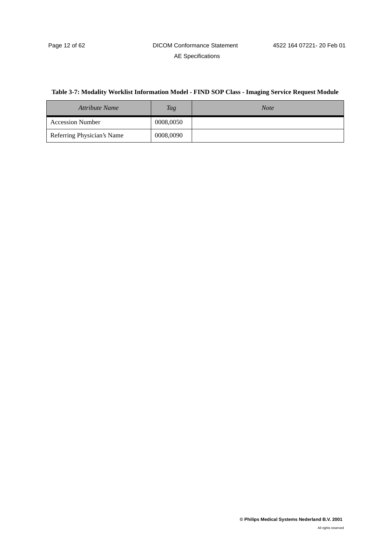# <span id="page-15-0"></span>**Table 3-7: Modality Worklist Information Model - FIND SOP Class - Imaging Service Request Module**

| Attribute Name             | Tag       | <b>Note</b> |
|----------------------------|-----------|-------------|
| <b>Accession Number</b>    | 0008,0050 |             |
| Referring Physician's Name | 0008,0090 |             |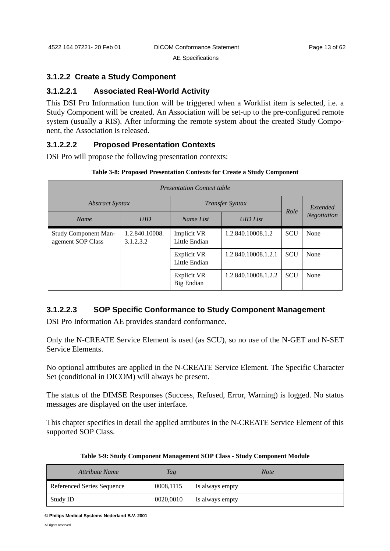# <span id="page-16-0"></span>**3.1.2.2 Create a Study Component**

# **3.1.2.2.1 Associated Real-World Activity**

This DSI Pro Information function will be triggered when a Worklist item is selected, i.e. a Study Component will be created. An Association will be set-up to the pre-configured remote system (usually a RIS). After informing the remote system about the created Study Component, the Association is released.

# **3.1.2.2.2 Proposed Presentation Contexts**

DSI Pro will propose the following presentation contexts:

| <b>Presentation Context table</b>                |                             |                              |                   |            |             |  |  |
|--------------------------------------------------|-----------------------------|------------------------------|-------------------|------------|-------------|--|--|
| <i><b>Abstract Syntax</b></i>                    |                             | <b>Transfer Syntax</b>       |                   | Role       | Extended    |  |  |
| Name                                             | <b>UID</b>                  | Name List                    | <b>UID</b> List   |            | Negotiation |  |  |
| <b>Study Component Man-</b><br>agement SOP Class | 1.2.840.10008.<br>3.1.2.3.2 | Implicit VR<br>Little Endian | 1.2.840.10008.1.2 | <b>SCU</b> | None        |  |  |
|                                                  |                             |                              |                   |            |             |  |  |

Explicit VR Little Endian

Explicit VR Big Endian

1.2.840.10008.1.2.1 SCU None

1.2.840.10008.1.2.2 SCU None

#### **Table 3-8: Proposed Presentation Contexts for Create a Study Component**

# **3.1.2.2.3 SOP Specific Conformance to Study Component Management**

DSI Pro Information AE provides standard conformance.

Only the N-CREATE Service Element is used (as SCU), so no use of the N-GET and N-SET Service Elements.

No optional attributes are applied in the N-CREATE Service Element. The Specific Character Set (conditional in DICOM) will always be present.

The status of the DIMSE Responses (Success, Refused, Error, Warning) is logged. No status messages are displayed on the user interface.

This chapter specifies in detail the applied attributes in the N-CREATE Service Element of this supported SOP Class.

| <b>Attribute Name</b>      | Tag       | <b>Note</b>     |
|----------------------------|-----------|-----------------|
| Referenced Series Sequence | 0008,1115 | Is always empty |
| Study ID                   | 0020,0010 | Is always empty |

#### **Table 3-9: Study Component Management SOP Class - Study Component Module**

**© Philips Medical Systems Nederland B.V. 2001**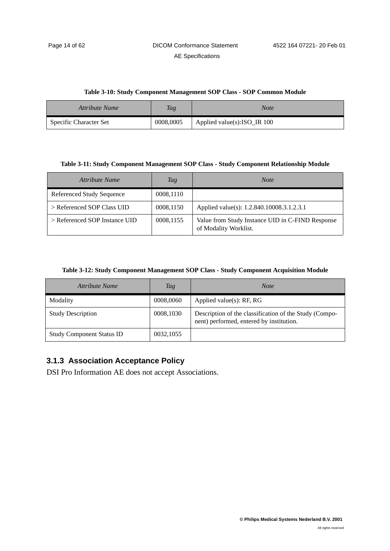#### **Table 3-10: Study Component Management SOP Class - SOP Common Module**

| Attribute Name         | <b>Tag</b> | Note                            |
|------------------------|------------|---------------------------------|
| Specific Character Set | 0008,0005  | Applied value $(s)$ :ISO_IR 100 |

#### **Table 3-11: Study Component Management SOP Class - Study Component Relationship Module**

| Attribute Name                   | Tag       | <b>Note</b>                                                               |
|----------------------------------|-----------|---------------------------------------------------------------------------|
| <b>Referenced Study Sequence</b> | 0008,1110 |                                                                           |
| > Referenced SOP Class UID       | 0008,1150 | Applied value(s): 1.2.840.10008.3.1.2.3.1                                 |
| > Referenced SOP Instance UID    | 0008,1155 | Value from Study Instance UID in C-FIND Response<br>of Modality Worklist. |

#### **Table 3-12: Study Component Management SOP Class - Study Component Acquisition Module**

| Attribute Name                   | Tag       | <b>Note</b>                                                                                        |
|----------------------------------|-----------|----------------------------------------------------------------------------------------------------|
| Modality                         | 0008,0060 | Applied value $(s)$ : RF, RG                                                                       |
| <b>Study Description</b>         | 0008,1030 | Description of the classification of the Study (Compo-<br>nent) performed, entered by institution. |
| <b>Study Component Status ID</b> | 0032,1055 |                                                                                                    |

# <span id="page-17-0"></span>**3.1.3 Association Acceptance Policy**

DSI Pro Information AE does not accept Associations.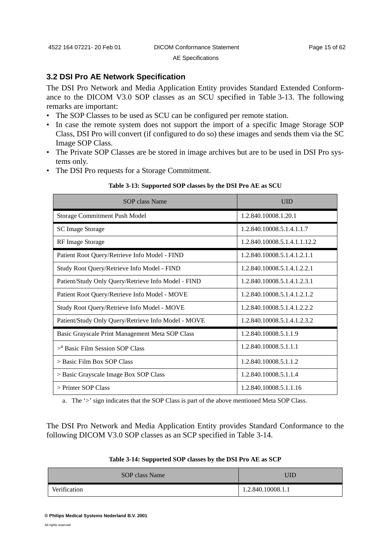# <span id="page-18-0"></span>**3.2 DSI Pro AE Network Specification**

The DSI Pro Network and Media Application Entity provides Standard Extended Conformance to the DICOM V3.0 SOP classes as an SCU specified in [Table 3-13](#page-18-1). The following remarks are important:

- The SOP Classes to be used as SCU can be configured per remote station.
- In case the remote system does not support the import of a specific Image Storage SOP Class, DSI Pro will convert (if configured to do so) these images and sends them via the SC Image SOP Class.
- The Private SOP Classes are be stored in image archives but are to be used in DSI Pro systems only.
- The DSI Pro requests for a Storage Commitment.

<span id="page-18-1"></span>

| <b>SOP</b> class Name                               | <b>UID</b>                   |
|-----------------------------------------------------|------------------------------|
| Storage Commitment Push Model                       | 1.2.840.10008.1.20.1         |
| <b>SC Image Storage</b>                             | 1.2.840.10008.5.1.4.1.1.7    |
| <b>RF</b> Image Storage                             | 1.2.840.10008.5.1.4.1.1.12.2 |
| Patient Root Query/Retrieve Info Model - FIND       | 1.2.840.10008.5.1.4.1.2.1.1  |
| Study Root Query/Retrieve Info Model - FIND         | 1.2.840.10008.5.1.4.1.2.2.1  |
| Patient/Study Only Query/Retrieve Info Model - FIND | 1.2.840.10008.5.1.4.1.2.3.1  |
| Patient Root Query/Retrieve Info Model - MOVE       | 1.2.840.10008.5.1.4.1.2.1.2  |
| Study Root Query/Retrieve Info Model - MOVE         | 1.2.840.10008.5.1.4.1.2.2.2  |
| Patient/Study Only Query/Retrieve Info Model - MOVE | 1.2.840.10008.5.1.4.1.2.3.2  |
| Basic Grayscale Print Management Meta SOP Class     | 1.2.840.10008.5.1.1.9        |
| $>^{\text{a}}$ Basic Film Session SOP Class         | 1.2.840.10008.5.1.1.1        |
| > Basic Film Box SOP Class                          | 1.2.840.10008.5.1.1.2        |
| > Basic Grayscale Image Box SOP Class               | 1.2.840.10008.5.1.1.4        |
| $>$ Printer SOP Class                               | 1.2.840.10008.5.1.1.16       |

#### **Table 3-13: Supported SOP classes by the DSI Pro AE as SCU**

a. The '>' sign indicates that the SOP Class is part of the above mentioned Meta SOP Class.

The DSI Pro Network and Media Application Entity provides Standard Conformance to the following DICOM V3.0 SOP classes as an SCP specified in [Table 3-14](#page-18-2).

<span id="page-18-2"></span>

| SOP class Name | JID               |
|----------------|-------------------|
| Verification   | 1.2.840.10008.1.1 |

#### **Table 3-14: Supported SOP classes by the DSI Pro AE as SCP**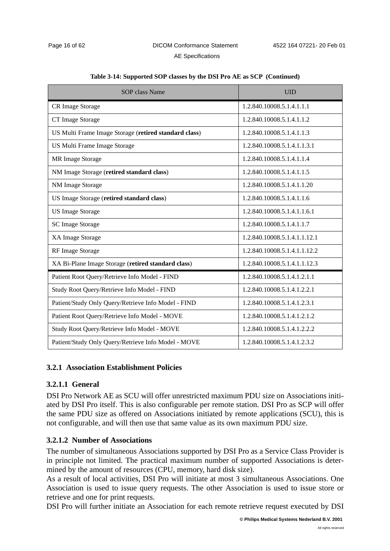| <b>SOP</b> class Name                                 | <b>UID</b>                   |
|-------------------------------------------------------|------------------------------|
| CR Image Storage                                      | 1.2.840.10008.5.1.4.1.1.1    |
| CT Image Storage                                      | 1.2.840.10008.5.1.4.1.1.2    |
| US Multi Frame Image Storage (retired standard class) | 1.2.840.10008.5.1.4.1.1.3    |
| US Multi Frame Image Storage                          | 1.2.840.10008.5.1.4.1.1.3.1  |
| MR Image Storage                                      | 1.2.840.10008.5.1.4.1.1.4    |
| NM Image Storage (retired standard class)             | 1.2.840.10008.5.1.4.1.1.5    |
| NM Image Storage                                      | 1.2.840.10008.5.1.4.1.1.20   |
| US Image Storage (retired standard class)             | 1.2.840.10008.5.1.4.1.1.6    |
| <b>US Image Storage</b>                               | 1.2.840.10008.5.1.4.1.1.6.1  |
| <b>SC Image Storage</b>                               | 1.2.840.10008.5.1.4.1.1.7    |
| XA Image Storage                                      | 1.2.840.10008.5.1.4.1.1.12.1 |
| RF Image Storage                                      | 1.2.840.10008.5.1.4.1.1.12.2 |
| XA Bi-Plane Image Storage (retired standard class)    | 1.2.840.10008.5.1.4.1.1.12.3 |
| Patient Root Query/Retrieve Info Model - FIND         | 1.2.840.10008.5.1.4.1.2.1.1  |
| Study Root Query/Retrieve Info Model - FIND           | 1.2.840.10008.5.1.4.1.2.2.1  |
| Patient/Study Only Query/Retrieve Info Model - FIND   | 1.2.840.10008.5.1.4.1.2.3.1  |
| Patient Root Query/Retrieve Info Model - MOVE         | 1.2.840.10008.5.1.4.1.2.1.2  |
| Study Root Query/Retrieve Info Model - MOVE           | 1.2.840.10008.5.1.4.1.2.2.2  |
| Patient/Study Only Query/Retrieve Info Model - MOVE   | 1.2.840.10008.5.1.4.1.2.3.2  |

#### **Table 3-14: Supported SOP classes by the DSI Pro AE as SCP (Continued)**

#### <span id="page-19-0"></span>**3.2.1 Association Establishment Policies**

#### **3.2.1.1 General**

DSI Pro Network AE as SCU will offer unrestricted maximum PDU size on Associations initiated by DSI Pro itself. This is also configurable per remote station. DSI Pro as SCP will offer the same PDU size as offered on Associations initiated by remote applications (SCU), this is not configurable, and will then use that same value as its own maximum PDU size.

#### **3.2.1.2 Number of Associations**

The number of simultaneous Associations supported by DSI Pro as a Service Class Provider is in principle not limited. The practical maximum number of supported Associations is determined by the amount of resources (CPU, memory, hard disk size).

As a result of local activities, DSI Pro will initiate at most 3 simultaneous Associations. One Association is used to issue query requests. The other Association is used to issue store or retrieve and one for print requests.

DSI Pro will further initiate an Association for each remote retrieve request executed by DSI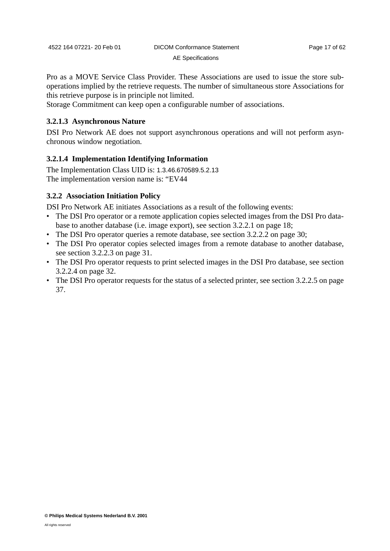Pro as a MOVE Service Class Provider. These Associations are used to issue the store suboperations implied by the retrieve requests. The number of simultaneous store Associations for this retrieve purpose is in principle not limited.

Storage Commitment can keep open a configurable number of associations.

#### **3.2.1.3 Asynchronous Nature**

DSI Pro Network AE does not support asynchronous operations and will not perform asynchronous window negotiation.

#### **3.2.1.4 Implementation Identifying Information**

The Implementation Class UID is: 1.3.46.670589.5.2.13 The implementation version name is: "EV44

#### <span id="page-20-0"></span>**3.2.2 Association Initiation Policy**

DSI Pro Network AE initiates Associations as a result of the following events:

- The DSI Pro operator or a remote application copies selected images from the DSI Pro database to another database (i.e. image export), see [section 3.2.2.1 on page 18](#page-21-0);
- The DSI Pro operator queries a remote database, see [section 3.2.2.2 on page 30](#page-33-0);
- The DSI Pro operator copies selected images from a remote database to another database, see [section 3.2.2.3 on page 31](#page-34-0).
- The DSI Pro operator requests to print selected images in the DSI Pro database, see [section](#page-35-0) [3.2.2.4 on page 32.](#page-35-0)
- The DSI Pro operator requests for the status of a selected printer, see [section 3.2.2.5 on page](#page-40-0) [37](#page-40-0).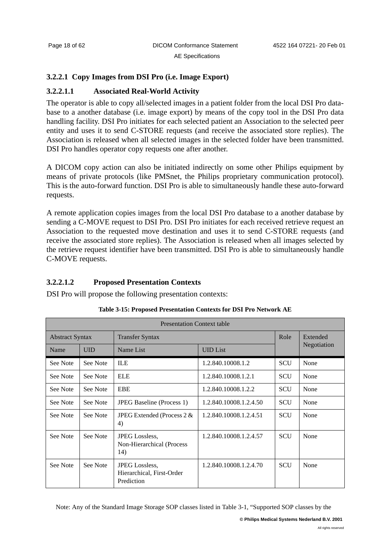# <span id="page-21-0"></span>**[3.2.2.1 Copy Images from DSI Pro \(i.e. Image E](#page-12-5)xport)**

# **3.2.2.1.1 Associated Real-World Activity**

The operator is able to copy all/selected images in a patient folder from the local DSI Pro database to a another database (i.e. image export) by means of the copy tool in the DSI Pro data handling facility. DSI Pro initiates for each selected patient an Association to the selected peer entity and uses it to send C-STORE requests (and receive the associated store replies). The Association is released when all selected images in the selected folder have been transmitted. DSI Pro handles operator copy requests one after another.

A DICOM copy action can also be initiated indirectly on some other Philips equipment by means of private protocols (like PMSnet, the Philips proprietary communication protocol). This is the auto-forward function. DSI Pro is able to simultaneously handle these auto-forward requests.

A remote application copies images from the local DSI Pro database to a another database by sending a C-MOVE request to DSI Pro. DSI Pro initiates for each received retrieve request an Association to the requested move destination and uses it to send C-STORE requests (and receive the associated store replies). The Association is released when all images selected by the retrieve request identifier have been transmitted. DSI Pro is able to simultaneously handle C-MOVE requests.

# **3.2.2.1.2 Proposed Presentation Contexts**

DSI Pro will propose the following presentation contexts:

<span id="page-21-1"></span>

| <b>Presentation Context table</b> |            |                                                           |                        |            |             |
|-----------------------------------|------------|-----------------------------------------------------------|------------------------|------------|-------------|
| <b>Abstract Syntax</b>            |            | <b>Transfer Syntax</b>                                    |                        | Role       | Extended    |
| Name                              | <b>UID</b> | Name List                                                 | <b>UID</b> List        |            | Negotiation |
| See Note                          | See Note   | <b>ILE</b>                                                | 1.2.840.10008.1.2      | <b>SCU</b> | None        |
| See Note                          | See Note   | <b>ELE</b>                                                | 1.2.840.10008.1.2.1    | <b>SCU</b> | None        |
| See Note                          | See Note   | <b>EBE</b>                                                | 1.2.840.10008.1.2.2    | <b>SCU</b> | None        |
| See Note                          | See Note   | <b>JPEG Baseline</b> (Process 1)                          | 1.2.840.10008.1.2.4.50 | <b>SCU</b> | None        |
| See Note                          | See Note   | JPEG Extended (Process $2 &$<br>4)                        | 1.2.840.10008.1.2.4.51 | <b>SCU</b> | None        |
| See Note                          | See Note   | JPEG Lossless,<br>Non-Hierarchical (Process<br>14)        | 1.2.840.10008.1.2.4.57 | <b>SCU</b> | None        |
| See Note                          | See Note   | JPEG Lossless,<br>Hierarchical, First-Order<br>Prediction | 1.2.840.10008.1.2.4.70 | <b>SCU</b> | None        |

**Table 3-15: Proposed Presentation Contexts for DSI Pro Network AE**

Note: Any of the Standard Image Storage SOP classes listed in [Table 3-1, "Supported SOP classes by the](#page-12-5)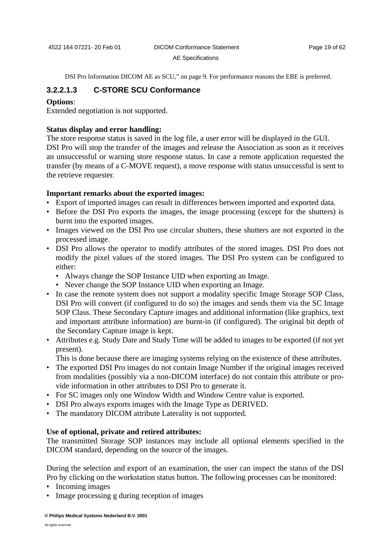[DSI Pro Information DICOM AE as SCU," on page 9.](#page-12-5) For performance reasons the EBE is preferred.

### <span id="page-22-0"></span>**3.2.2.1.3 C-STORE SCU Conformance**

#### **Options**:

Extended negotiation is not supported.

### **Status display and error handling:**

The store response status is saved in the log file, a user error will be displayed in the GUI. DSI Pro will stop the transfer of the images and release the Association as soon as it receives an unsuccessful or warning store response status. In case a remote application requested the transfer (by means of a C-MOVE request), a move response with status unsuccessful is sent to the retrieve requester.

#### **Important remarks about the exported images:**

- Export of imported images can result in differences between imported and exported data.
- Before the DSI Pro exports the images, the image processing (except for the shutters) is burnt into the exported images.
- Images viewed on the DSI Pro use circular shutters, these shutters are not exported in the processed image.
- DSI Pro allows the operator to modify attributes of the stored images. DSI Pro does not modify the pixel values of the stored images. The DSI Pro system can be configured to either:
	- Always change the SOP Instance UID when exporting an Image.
	- Never change the SOP Instance UID when exporting an Image.
- In case the remote system does not support a modality specific Image Storage SOP Class, DSI Pro will convert (if configured to do so) the images and sends them via the SC Image SOP Class. These Secondary Capture images and additional information (like graphics, text and important attribute information) are burnt-in (if configured). The original bit depth of the Secondary Capture image is kept.
- Attributes e.g. Study Date and Study Time will be added to images to be exported (if not yet present).

This is done because there are imaging systems relying on the existence of these attributes.

- The exported DSI Pro images do not contain Image Number if the original images received from modalities (possibly via a non-DICOM interface) do not contain this attribute or provide information in other attributes to DSI Pro to generate it.
- For SC images only one Window Width and Window Centre value is exported.
- DSI Pro always exports images with the Image Type as DERIVED.
- The mandatory DICOM attribute Laterality is not supported.

#### **Use of optional, private and retired attributes:**

The transmitted Storage SOP instances may include all optional elements specified in the DICOM standard, depending on the source of the images.

During the selection and export of an examination, the user can inspect the status of the DSI Pro by clicking on the workstation status button. The following processes can be monitored:

- Incoming images
- Image processing g during reception of images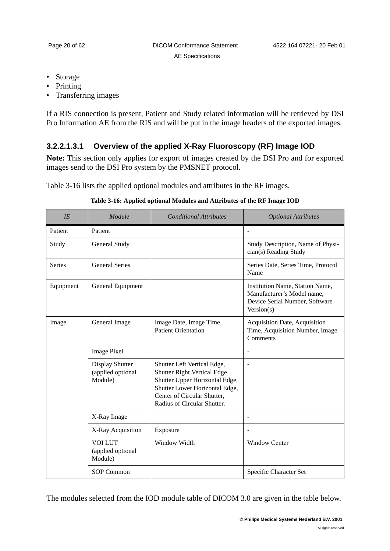- Storage
- Printing
- Transferring images

If a RIS connection is present, Patient and Study related information will be retrieved by DSI Pro Information AE from the RIS and will be put in the image headers of the exported images.

# <span id="page-23-1"></span>**3.2.2.1.3.1 Overview of the applied X-Ray Fluoroscopy (RF) Image IOD**

**Note:** This section only applies for export of images created by the DSI Pro and for exported images send to the DSI Pro system by the PMSNET protocol.

[Table 3-16](#page-23-0) lists the applied optional modules and attributes in the RF images.

<span id="page-23-0"></span>

| IE            | Module                                          | <b>Conditional Attributes</b>                                                                                                                                                                 | <b>Optional Attributes</b>                                                                                    |
|---------------|-------------------------------------------------|-----------------------------------------------------------------------------------------------------------------------------------------------------------------------------------------------|---------------------------------------------------------------------------------------------------------------|
| Patient       | Patient                                         |                                                                                                                                                                                               |                                                                                                               |
| Study         | General Study                                   |                                                                                                                                                                                               | Study Description, Name of Physi-<br>cian(s) Reading Study                                                    |
| <b>Series</b> | <b>General Series</b>                           |                                                                                                                                                                                               | Series Date, Series Time, Protocol<br>Name                                                                    |
| Equipment     | General Equipment                               |                                                                                                                                                                                               | Institution Name, Station Name,<br>Manufacturer's Model name,<br>Device Serial Number, Software<br>Version(s) |
| Image         | General Image                                   | Image Date, Image Time,<br><b>Patient Orientation</b>                                                                                                                                         | Acquisition Date, Acquisition<br>Time, Acquisition Number, Image<br>Comments                                  |
|               | <b>Image Pixel</b>                              |                                                                                                                                                                                               |                                                                                                               |
|               | Display Shutter<br>(applied optional<br>Module) | Shutter Left Vertical Edge,<br>Shutter Right Vertical Edge,<br>Shutter Upper Horizontal Edge,<br>Shutter Lower Horizontal Edge,<br>Center of Circular Shutter,<br>Radius of Circular Shutter. | $\overline{\phantom{a}}$                                                                                      |
|               | X-Ray Image                                     |                                                                                                                                                                                               |                                                                                                               |
|               | X-Ray Acquisition                               | Exposure                                                                                                                                                                                      | $\overline{\phantom{a}}$                                                                                      |
|               | <b>VOI LUT</b><br>(applied optional<br>Module)  | Window Width                                                                                                                                                                                  | <b>Window Center</b>                                                                                          |
|               | <b>SOP Common</b>                               |                                                                                                                                                                                               | Specific Character Set                                                                                        |

**Table 3-16: Applied optional Modules and Attributes of the RF Image IOD**

The modules selected from the IOD module table of DICOM 3.0 are given in the table below.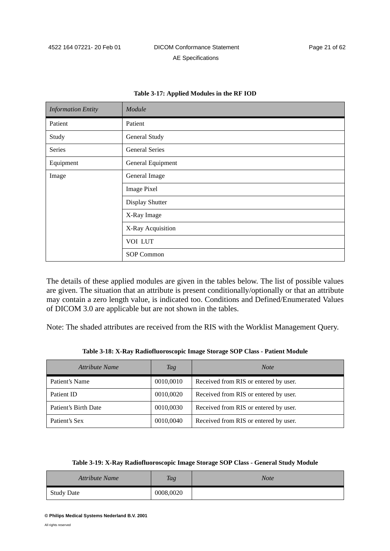| <b>Information Entity</b> | Module                |
|---------------------------|-----------------------|
| Patient                   | Patient               |
| Study                     | General Study         |
| Series                    | <b>General Series</b> |
| Equipment                 | General Equipment     |
| Image                     | General Image         |
|                           | <b>Image Pixel</b>    |
|                           | Display Shutter       |
|                           | X-Ray Image           |
|                           | X-Ray Acquisition     |
|                           | VOI LUT               |
|                           | <b>SOP Common</b>     |

#### **Table 3-17: Applied Modules in the RF IOD**

The details of these applied modules are given in the tables below. The list of possible values are given. The situation that an attribute is present conditionally/optionally or that an attribute may contain a zero length value, is indicated too. Conditions and Defined/Enumerated Values of DICOM 3.0 are applicable but are not shown in the tables.

Note: The shaded attributes are received from the RIS with the Worklist Management Query.

| Table 3-18: X-Ray Radiofluoroscopic Image Storage SOP Class - Patient Module |
|------------------------------------------------------------------------------|
|------------------------------------------------------------------------------|

<span id="page-24-0"></span>

| Attribute Name       | Tag       | <b>Note</b>                           |
|----------------------|-----------|---------------------------------------|
| Patient's Name       | 0010,0010 | Received from RIS or entered by user. |
| Patient ID           | 0010,0020 | Received from RIS or entered by user. |
| Patient's Birth Date | 0010,0030 | Received from RIS or entered by user. |
| Patient's Sex        | 0010,0040 | Received from RIS or entered by user. |

#### **Table 3-19: X-Ray Radiofluoroscopic Image Storage SOP Class - General Study Module**

<span id="page-24-1"></span>

| <b>Attribute Name</b> | <b>Tag</b> | Note |
|-----------------------|------------|------|
| <b>Study Date</b>     | 0008,0020  |      |

**<sup>©</sup> Philips Medical Systems Nederland B.V. 2001**

All rights reserved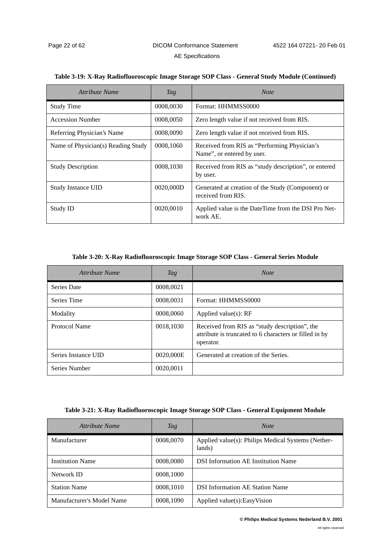| Attribute Name                     | Tag       | <b>Note</b>                                                                |
|------------------------------------|-----------|----------------------------------------------------------------------------|
| <b>Study Time</b>                  | 0008,0030 | Format: HHMMSS0000                                                         |
| <b>Accession Number</b>            | 0008,0050 | Zero length value if not received from RIS.                                |
| Referring Physician's Name         | 0008,0090 | Zero length value if not received from RIS.                                |
| Name of Physician(s) Reading Study | 0008,1060 | Received from RIS as "Performing Physician's<br>Name", or entered by user. |
| <b>Study Description</b>           | 0008,1030 | Received from RIS as "study description", or entered<br>by user.           |
| <b>Study Instance UID</b>          | 0020,000D | Generated at creation of the Study (Component) or<br>received from RIS.    |
| Study ID                           | 0020,0010 | Applied value is the DateTime from the DSI Pro Net-<br>work AE.            |

#### **Table 3-19: X-Ray Radiofluoroscopic Image Storage SOP Class - General Study Module (Continued)**

#### **Table 3-20: X-Ray Radiofluoroscopic Image Storage SOP Class - General Series Module**

<span id="page-25-1"></span>

| Attribute Name      | Tag       | <b>Note</b>                                                                                                          |
|---------------------|-----------|----------------------------------------------------------------------------------------------------------------------|
| Series Date         | 0008,0021 |                                                                                                                      |
| Series Time         | 0008,0031 | Format: HHMMSS0000                                                                                                   |
| Modality            | 0008,0060 | Applied value $(s)$ : RF                                                                                             |
| Protocol Name       | 0018,1030 | Received from RIS as "study description", the<br>attribute is truncated to 6 characters or filled in by<br>operator. |
| Series Instance UID | 0020,000E | Generated at creation of the Series.                                                                                 |
| Series Number       | 0020.0011 |                                                                                                                      |

#### **Table 3-21: X-Ray Radiofluoroscopic Image Storage SOP Class - General Equipment Module**

<span id="page-25-0"></span>

| Attribute Name            | Tag       | <b>Note</b>                                                  |
|---------------------------|-----------|--------------------------------------------------------------|
| Manufacturer              | 0008,0070 | Applied value(s): Philips Medical Systems (Nether-<br>lands) |
| <b>Institution Name</b>   | 0008,0080 | <b>DSI</b> Information AE Institution Name                   |
| Network ID                | 0008,1000 |                                                              |
| <b>Station Name</b>       | 0008,1010 | <b>DSI</b> Information AE Station Name                       |
| Manufacturer's Model Name | 0008,1090 | Applied value(s): Easy Vision                                |

**© Philips Medical Systems Nederland B.V. 2001**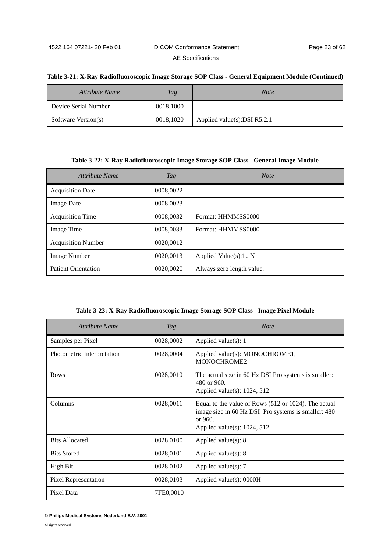#### **Table 3-21: X-Ray Radiofluoroscopic Image Storage SOP Class - General Equipment Module (Continued)**

| Attribute Name       | Tag       | <b>Note</b>                     |
|----------------------|-----------|---------------------------------|
| Device Serial Number | 0018,1000 |                                 |
| Software Version(s)  | 0018,1020 | Applied value $(s)$ :DSI R5.2.1 |

#### **Table 3-22: X-Ray Radiofluoroscopic Image Storage SOP Class - General Image Module**

| Attribute Name             | Tag       | <b>Note</b>               |
|----------------------------|-----------|---------------------------|
| <b>Acquisition Date</b>    | 0008,0022 |                           |
| <b>Image Date</b>          | 0008,0023 |                           |
| <b>Acquisition Time</b>    | 0008,0032 | Format: HHMMSS0000        |
| Image Time                 | 0008,0033 | Format: HHMMSS0000        |
| <b>Acquisition Number</b>  | 0020,0012 |                           |
| <b>Image Number</b>        | 0020,0013 | Applied Value(s):1 N      |
| <b>Patient Orientation</b> | 0020,0020 | Always zero length value. |

**Table 3-23: X-Ray Radiofluoroscopic Image Storage SOP Class - Image Pixel Module**

| Attribute Name             | Tag       | Note                                                                                                                                                     |
|----------------------------|-----------|----------------------------------------------------------------------------------------------------------------------------------------------------------|
| Samples per Pixel          | 0028,0002 | Applied value $(s)$ : 1                                                                                                                                  |
| Photometric Interpretation | 0028,0004 | Applied value(s): MONOCHROME1,<br>MONOCHROME2                                                                                                            |
| Rows                       | 0028,0010 | The actual size in 60 Hz DSI Pro systems is smaller:<br>480 or 960.<br>Applied value(s): $1024$ , 512                                                    |
| Columns                    | 0028,0011 | Equal to the value of Rows (512 or 1024). The actual<br>image size in 60 Hz DSI Pro systems is smaller: 480<br>or 960.<br>Applied value(s): $1024$ , 512 |
| <b>Bits Allocated</b>      | 0028,0100 | Applied value $(s)$ : 8                                                                                                                                  |
| <b>Bits Stored</b>         | 0028,0101 | Applied value(s): $8$                                                                                                                                    |
| High Bit                   | 0028,0102 | Applied value $(s)$ : 7                                                                                                                                  |
| Pixel Representation       | 0028,0103 | Applied value $(s)$ : 0000H                                                                                                                              |
| Pixel Data                 | 7FE0,0010 |                                                                                                                                                          |

**<sup>©</sup> Philips Medical Systems Nederland B.V. 2001**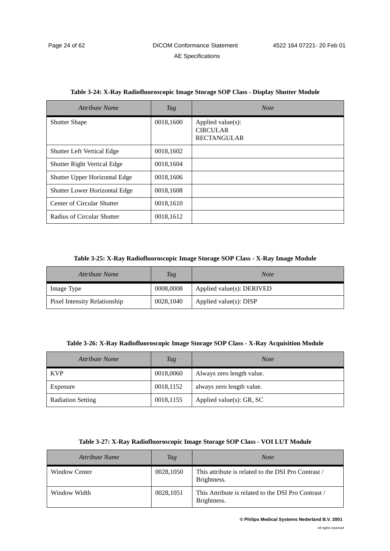| <b>Attribute Name</b>              | Tag       | <b>Note</b>                                                |
|------------------------------------|-----------|------------------------------------------------------------|
| <b>Shutter Shape</b>               | 0018,1600 | Applied value(s):<br><b>CIRCULAR</b><br><b>RECTANGULAR</b> |
| <b>Shutter Left Vertical Edge</b>  | 0018,1602 |                                                            |
| <b>Shutter Right Vertical Edge</b> | 0018,1604 |                                                            |
| Shutter Upper Horizontal Edge      | 0018,1606 |                                                            |
| Shutter Lower Horizontal Edge      | 0018,1608 |                                                            |
| Center of Circular Shutter         | 0018,1610 |                                                            |
| Radius of Circular Shutter         | 0018,1612 |                                                            |

#### **Table 3-24: X-Ray Radiofluoroscopic Image Storage SOP Class - Display Shutter Module**

#### **Table 3-25: X-Ray Radiofluoroscopic Image Storage SOP Class - X-Ray Image Module**

| Attribute Name               | <b>Tag</b> | Note                          |
|------------------------------|------------|-------------------------------|
| Image Type                   | 0008,0008  | Applied value $(s)$ : DERIVED |
| Pixel Intensity Relationship | 0028,1040  | Applied value $(s)$ : DISP    |

| Table 3-26: X-Ray Radiofluoroscopic Image Storage SOP Class - X-Ray Acquisition Module |  |  |  |  |  |  |
|----------------------------------------------------------------------------------------|--|--|--|--|--|--|
|----------------------------------------------------------------------------------------|--|--|--|--|--|--|

| Attribute Name           | <b>Tag</b> | <b>Note</b>                  |
|--------------------------|------------|------------------------------|
| <b>KVP</b>               | 0018,0060  | Always zero length value.    |
| Exposure                 | 0018,1152  | always zero length value.    |
| <b>Radiation Setting</b> | 0018,1155  | Applied value $(s)$ : GR, SC |

|  |  | Table 3-27: X-Ray Radiofluoroscopic Image Storage SOP Class - VOI LUT Module |  |  |
|--|--|------------------------------------------------------------------------------|--|--|
|--|--|------------------------------------------------------------------------------|--|--|

| Attribute Name       | Tag       | <b>Note</b>                                                        |
|----------------------|-----------|--------------------------------------------------------------------|
| <b>Window Center</b> | 0028,1050 | This attribute is related to the DSI Pro Contrast /<br>Brightness. |
| Window Width         | 0028,1051 | This Attribute is related to the DSI Pro Contrast /<br>Brightness. |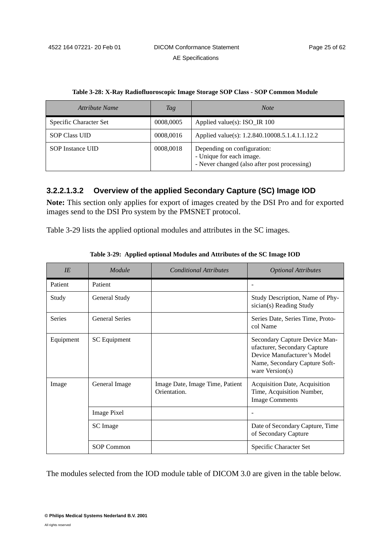| Attribute Name         | Tag       | <b>Note</b>                                                                                             |
|------------------------|-----------|---------------------------------------------------------------------------------------------------------|
| Specific Character Set | 0008,0005 | Applied value(s): $ISO_R 100$                                                                           |
| <b>SOP Class UID</b>   | 0008,0016 | Applied value(s): 1.2.840.10008.5.1.4.1.1.12.2                                                          |
| SOP Instance UID       | 0008,0018 | Depending on configuration:<br>- Unique for each image.<br>- Never changed (also after post processing) |

**Table 3-28: X-Ray Radiofluoroscopic Image Storage SOP Class - SOP Common Module**

# <span id="page-28-1"></span>**3.2.2.1.3.2 Overview of the applied Secondary Capture (SC) Image IOD**

**Note:** This section only applies for export of images created by the DSI Pro and for exported images send to the DSI Pro system by the PMSNET protocol.

[Table 3-29](#page-28-0) lists the applied optional modules and attributes in the SC images.

<span id="page-28-0"></span>

| IE            | Module                | <b>Conditional Attributes</b>                   | <b>Optional Attributes</b>                                                                                                                       |
|---------------|-----------------------|-------------------------------------------------|--------------------------------------------------------------------------------------------------------------------------------------------------|
| Patient       | Patient               |                                                 |                                                                                                                                                  |
| Study         | General Study         |                                                 | Study Description, Name of Phy-<br>sician(s) Reading Study                                                                                       |
| <b>Series</b> | <b>General Series</b> |                                                 | Series Date, Series Time, Proto-<br>col Name                                                                                                     |
| Equipment     | <b>SC</b> Equipment   |                                                 | Secondary Capture Device Man-<br>ufacturer, Secondary Capture<br>Device Manufacturer's Model<br>Name, Secondary Capture Soft-<br>ware Version(s) |
| Image         | General Image         | Image Date, Image Time, Patient<br>Orientation. | Acquisition Date, Acquisition<br>Time, Acquisition Number,<br><b>Image Comments</b>                                                              |
|               | <b>Image Pixel</b>    |                                                 |                                                                                                                                                  |
|               | <b>SC</b> Image       |                                                 | Date of Secondary Capture, Time<br>of Secondary Capture                                                                                          |
|               | <b>SOP Common</b>     |                                                 | Specific Character Set                                                                                                                           |

**Table 3-29: Applied optional Modules and Attributes of the SC Image IOD** 

The modules selected from the IOD module table of DICOM 3.0 are given in the table below.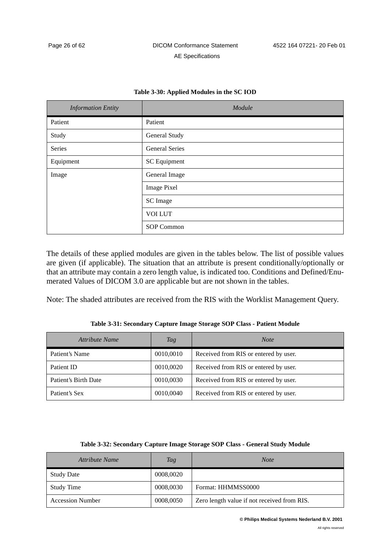#### **Table 3-30: Applied Modules in the SC IOD**

| <b>Information Entity</b> | Module                |  |  |  |
|---------------------------|-----------------------|--|--|--|
| Patient                   | Patient               |  |  |  |
| Study                     | General Study         |  |  |  |
| Series                    | <b>General Series</b> |  |  |  |
| Equipment                 | <b>SC</b> Equipment   |  |  |  |
| Image                     | General Image         |  |  |  |
|                           | <b>Image Pixel</b>    |  |  |  |
|                           | SC Image              |  |  |  |
|                           | <b>VOI LUT</b>        |  |  |  |
|                           | SOP Common            |  |  |  |

The details of these applied modules are given in the tables below. The list of possible values are given (if applicable). The situation that an attribute is present conditionally/optionally or that an attribute may contain a zero length value, is indicated too. Conditions and Defined/Enumerated Values of DICOM 3.0 are applicable but are not shown in the tables.

Note: The shaded attributes are received from the RIS with the Worklist Management Query.

<span id="page-29-0"></span>*Attribute Name Tag Note* Patient's Name  $\begin{array}{|c|c|c|c|c|c|c|c|c|} \hline 0010,0010 & \text{Received from RIS or entered by user.} \hline \end{array}$ Patient ID  $\vert$  0010,0020 Received from RIS or entered by user. Patient's Birth Date 0010,0030 Received from RIS or entered by user.

Patient's Sex 0010,0040 Received from RIS or entered by user.

**Table 3-31: Secondary Capture Image Storage SOP Class - Patient Module**

| Table 3-32: Secondary Capture Image Storage SOP Class - General Study Module |  |  |  |
|------------------------------------------------------------------------------|--|--|--|
|------------------------------------------------------------------------------|--|--|--|

<span id="page-29-1"></span>

| Attribute Name          | <b>Tag</b> | <b>Note</b>                                 |  |  |
|-------------------------|------------|---------------------------------------------|--|--|
| <b>Study Date</b>       | 0008,0020  |                                             |  |  |
| Study Time              | 0008,0030  | Format: HHMMSS0000                          |  |  |
| <b>Accession Number</b> | 0008,0050  | Zero length value if not received from RIS. |  |  |

**© Philips Medical Systems Nederland B.V. 2001**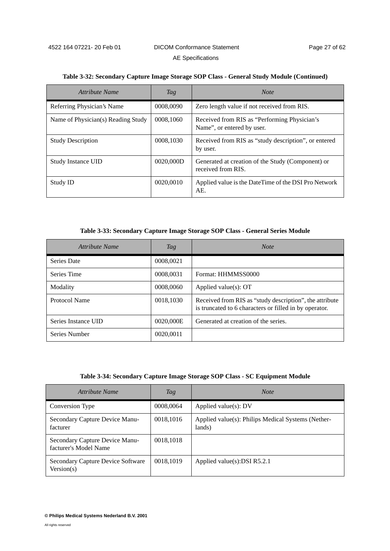| Attribute Name                     | Tag       | <b>Note</b>                                                                |
|------------------------------------|-----------|----------------------------------------------------------------------------|
| Referring Physician's Name         | 0008,0090 | Zero length value if not received from RIS.                                |
| Name of Physician(s) Reading Study | 0008,1060 | Received from RIS as "Performing Physician's<br>Name", or entered by user. |
| <b>Study Description</b>           | 0008,1030 | Received from RIS as "study description", or entered<br>by user.           |
| <b>Study Instance UID</b>          | 0020,000D | Generated at creation of the Study (Component) or<br>received from RIS.    |
| Study ID                           | 0020,0010 | Applied value is the DateTime of the DSI Pro Network<br>AE.                |

#### **Table 3-32: Secondary Capture Image Storage SOP Class - General Study Module (Continued)**

**Table 3-33: Secondary Capture Image Storage SOP Class - General Series Module**

<span id="page-30-0"></span>

| Attribute Name      | Tag       | <b>Note</b>                                                                                                       |
|---------------------|-----------|-------------------------------------------------------------------------------------------------------------------|
| <b>Series Date</b>  | 0008,0021 |                                                                                                                   |
| Series Time         | 0008,0031 | Format: HHMMSS0000                                                                                                |
| Modality            | 0008,0060 | Applied value $(s)$ : OT                                                                                          |
| Protocol Name       | 0018,1030 | Received from RIS as "study description", the attribute<br>is truncated to 6 characters or filled in by operator. |
| Series Instance UID | 0020,000E | Generated at creation of the series.                                                                              |
| Series Number       | 0020,0011 |                                                                                                                   |

| Table 3-34: Secondary Capture Image Storage SOP Class - SC Equipment Module |  |  |  |  |  |  |
|-----------------------------------------------------------------------------|--|--|--|--|--|--|
|-----------------------------------------------------------------------------|--|--|--|--|--|--|

| Attribute Name                                          | Tag       | <b>Note</b>                                                  |
|---------------------------------------------------------|-----------|--------------------------------------------------------------|
| Conversion Type                                         | 0008,0064 | Applied value $(s)$ : DV                                     |
| Secondary Capture Device Manu-<br>facturer              | 0018,1016 | Applied value(s): Philips Medical Systems (Nether-<br>lands) |
| Secondary Capture Device Manu-<br>facturer's Model Name | 0018,1018 |                                                              |
| Secondary Capture Device Software<br>Version(s)         | 0018,1019 | Applied value(s): DSI $R5.2.1$                               |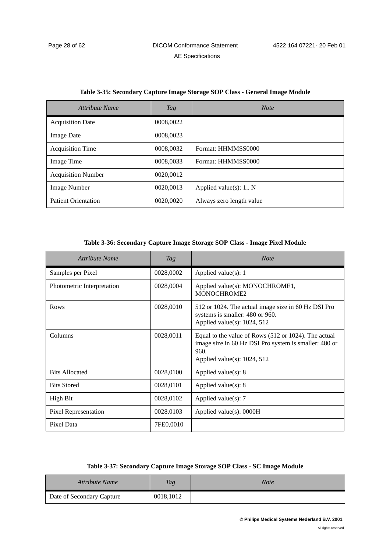| Attribute Name             | Tag       | <b>Note</b>              |
|----------------------------|-----------|--------------------------|
| <b>Acquisition Date</b>    | 0008,0022 |                          |
| <b>Image Date</b>          | 0008,0023 |                          |
| <b>Acquisition Time</b>    | 0008,0032 | Format: HHMMSS0000       |
| Image Time                 | 0008,0033 | Format: HHMMSS0000       |
| <b>Acquisition Number</b>  | 0020,0012 |                          |
| Image Number               | 0020.0013 | Applied value(s): $1 N$  |
| <b>Patient Orientation</b> | 0020,0020 | Always zero length value |

#### **Table 3-35: Secondary Capture Image Storage SOP Class - General Image Module**

#### **Table 3-36: Secondary Capture Image Storage SOP Class - Image Pixel Module**

| Attribute Name             | Tag       | <b>Note</b>                                                                                                                                               |
|----------------------------|-----------|-----------------------------------------------------------------------------------------------------------------------------------------------------------|
| Samples per Pixel          | 0028,0002 | Applied value $(s)$ : 1                                                                                                                                   |
| Photometric Interpretation | 0028,0004 | Applied value(s): MONOCHROME1,<br>MONOCHROME2                                                                                                             |
| Rows                       | 0028,0010 | 512 or 1024. The actual image size in 60 Hz DSI Pro<br>systems is smaller: 480 or 960.<br>Applied value(s): $1024$ , $512$                                |
| Columns                    | 0028,0011 | Equal to the value of Rows (512 or 1024). The actual<br>image size in 60 Hz DSI Pro system is smaller: 480 or<br>960.<br>Applied value(s): $1024$ , $512$ |
| <b>Bits Allocated</b>      | 0028,0100 | Applied value $(s)$ : 8                                                                                                                                   |
| <b>Bits Stored</b>         | 0028,0101 | Applied value(s): $8$                                                                                                                                     |
| <b>High Bit</b>            | 0028,0102 | Applied value $(s)$ : 7                                                                                                                                   |
| Pixel Representation       | 0028,0103 | Applied value(s): 0000H                                                                                                                                   |
| Pixel Data                 | 7FE0,0010 |                                                                                                                                                           |

| Table 3-37: Secondary Capture Image Storage SOP Class - SC Image Module |  |  |  |  |
|-------------------------------------------------------------------------|--|--|--|--|
|-------------------------------------------------------------------------|--|--|--|--|

| Attribute Name            | <b>Tag</b> | Note |
|---------------------------|------------|------|
| Date of Secondary Capture | 0018,1012  |      |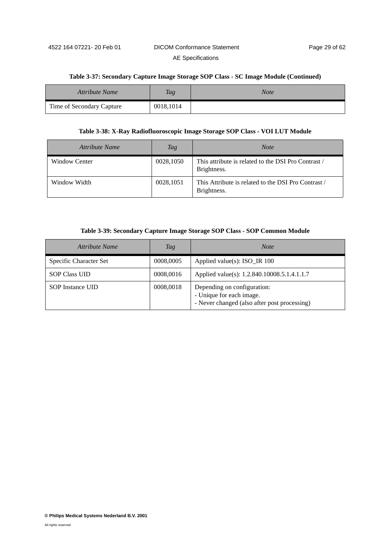#### **Table 3-37: Secondary Capture Image Storage SOP Class - SC Image Module (Continued)**

| <b>Attribute Name</b>     | <b>Tag</b> | <b>Note</b> |
|---------------------------|------------|-------------|
| Time of Secondary Capture | 0018,1014  |             |

#### **Table 3-38: X-Ray Radiofluoroscopic Image Storage SOP Class - VOI LUT Module**

| Attribute Name       | Tag       | <b>Note</b>                                                        |
|----------------------|-----------|--------------------------------------------------------------------|
| <b>Window Center</b> | 0028,1050 | This attribute is related to the DSI Pro Contrast /<br>Brightness. |
| Window Width         | 0028,1051 | This Attribute is related to the DSI Pro Contrast /<br>Brightness. |

#### **Table 3-39: Secondary Capture Image Storage SOP Class - SOP Common Module**

| Attribute Name         | Tag       | <b>Note</b>                                                                                             |
|------------------------|-----------|---------------------------------------------------------------------------------------------------------|
| Specific Character Set | 0008,0005 | Applied value(s): ISO_IR 100                                                                            |
| <b>SOP Class UID</b>   | 0008,0016 | Applied value(s): 1.2.840.10008.5.1.4.1.1.7                                                             |
| SOP Instance UID       | 0008,0018 | Depending on configuration:<br>- Unique for each image.<br>- Never changed (also after post processing) |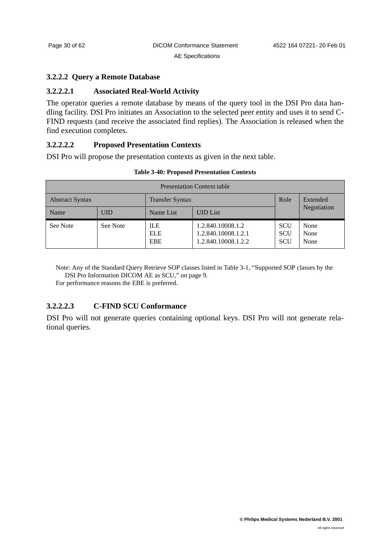#### <span id="page-33-0"></span>**3.2.2.2 Query a Remote Database**

#### **3.2.2.2.1 Associated Real-World Activity**

The operator queries a remote database by means of the query tool in the DSI Pro data handling facility. DSI Pro initiates an Association to the selected peer entity and uses it to send C-FIND requests (and receive the associated find replies). The Association is released when the find execution completes.

#### **3.2.2.2.2 Proposed Presentation Contexts**

DSI Pro will propose the presentation contexts as given in the next table.

| <b>Presentation Context table</b> |            |                                        |                                                                 |                                        |                      |
|-----------------------------------|------------|----------------------------------------|-----------------------------------------------------------------|----------------------------------------|----------------------|
| <b>Abstract Syntax</b>            |            | <b>Transfer Syntax</b>                 |                                                                 |                                        | Extended             |
| Name                              | <b>UID</b> | Name List                              | <b>UID</b> List                                                 |                                        | Negotiation          |
| See Note                          | See Note   | <b>ILE</b><br><b>ELE</b><br><b>EBE</b> | 1.2.840.10008.1.2<br>1.2.840.10008.1.2.1<br>1.2.840.10008.1.2.2 | <b>SCU</b><br><b>SCU</b><br><b>SCU</b> | None<br>None<br>None |

#### **Table 3-40: Proposed Presentation Contexts**

Note: Any of the Standard Query Retrieve SOP classes listed in [Table 3-1, "Supported SOP classes by the](#page-12-5)  [DSI Pro Information DICOM AE as SCU," on page 9.](#page-12-5)

For performance reasons the EBE is preferred.

# **3.2.2.2.3 C-FIND SCU Conformance**

DSI Pro will not generate queries containing optional keys. DSI Pro will not generate relational queries.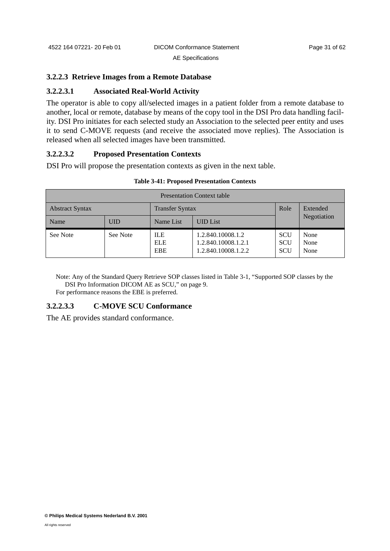#### <span id="page-34-0"></span>**3.2.2.3 Retrieve Images from a Remote Database**

### **3.2.2.3.1 Associated Real-World Activity**

The operator is able to copy all/selected images in a patient folder from a remote database to another, local or remote, database by means of the copy tool in the DSI Pro data handling facility. DSI Pro initiates for each selected study an Association to the selected peer entity and uses it to send C-MOVE requests (and receive the associated move replies). The Association is released when all selected images have been transmitted.

# **3.2.2.3.2 Proposed Presentation Contexts**

DSI Pro will propose the presentation contexts as given in the next table.

| <b>Presentation Context table</b> |            |                                        |                                                                 |                                        |                      |  |
|-----------------------------------|------------|----------------------------------------|-----------------------------------------------------------------|----------------------------------------|----------------------|--|
| <b>Abstract Syntax</b>            |            | <b>Transfer Syntax</b>                 |                                                                 | Role                                   | Extended             |  |
| Name                              | <b>UID</b> | Name List                              | <b>UID</b> List                                                 |                                        | Negotiation          |  |
| See Note                          | See Note   | <b>ILE</b><br><b>ELE</b><br><b>EBE</b> | 1.2.840.10008.1.2<br>1.2.840.10008.1.2.1<br>1.2.840.10008.1.2.2 | <b>SCU</b><br><b>SCU</b><br><b>SCU</b> | None<br>None<br>None |  |

#### **Table 3-41: Proposed Presentation Contexts**

Note: Any of the Standard Query Retrieve SOP classes listed in [Table 3-1, "Supported SOP classes by the](#page-12-5)  [DSI Pro Information DICOM AE as SCU," on page 9.](#page-12-5)

For performance reasons the EBE is preferred.

# **3.2.2.3.3 C-MOVE SCU Conformance**

The AE provides standard conformance.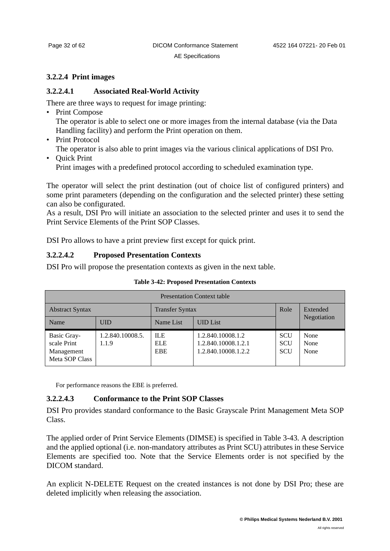# <span id="page-35-0"></span>**3.2.2.4 Print images**

# **3.2.2.4.1 Associated Real-World Activity**

There are three ways to request for image printing:

- Print Compose The operator is able to select one or more images from the internal database (via the Data Handling facility) and perform the Print operation on them.
- Print Protocol
- The operator is also able to print images via the various clinical applications of DSI Pro.
- Quick Print

Print images with a predefined protocol according to scheduled examination type.

The operator will select the print destination (out of choice list of configured printers) and some print parameters (depending on the configuration and the selected printer) these setting can also be configurated.

As a result, DSI Pro will initiate an association to the selected printer and uses it to send the Print Service Elements of the Print SOP Classes.

DSI Pro allows to have a print preview first except for quick print.

# **3.2.2.4.2 Proposed Presentation Contexts**

DSI Pro will propose the presentation contexts as given in the next table.

| <b>Presentation Context table</b>                          |                           |                                        |                                                                 |                                        |                      |  |
|------------------------------------------------------------|---------------------------|----------------------------------------|-----------------------------------------------------------------|----------------------------------------|----------------------|--|
| <b>Abstract Syntax</b>                                     |                           | <b>Transfer Syntax</b>                 |                                                                 | Role                                   | Extended             |  |
| Name                                                       | <b>UID</b>                | Name List                              | <b>UID</b> List                                                 |                                        | Negotiation          |  |
| Basic Gray-<br>scale Print<br>Management<br>Meta SOP Class | 1.2.840.10008.5.<br>1.1.9 | <b>ILE</b><br><b>ELE</b><br><b>EBE</b> | 1.2.840.10008.1.2<br>1.2.840.10008.1.2.1<br>1.2.840.10008.1.2.2 | <b>SCU</b><br><b>SCU</b><br><b>SCU</b> | None<br>None<br>None |  |

**Table 3-42: Proposed Presentation Contexts**

For performance reasons the EBE is preferred.

# **3.2.2.4.3 Conformance to the Print SOP Classes**

DSI Pro provides standard conformance to the Basic Grayscale Print Management Meta SOP Class.

The applied order of Print Service Elements (DIMSE) is specified in [Table 3-43.](#page-36-0) A description and the applied optional (i.e. non-mandatory attributes as Print SCU) attributes in these Service Elements are specified too. Note that the Service Elements order is not specified by the DICOM standard.

An explicit N-DELETE Request on the created instances is not done by DSI Pro; these are deleted implicitly when releasing the association.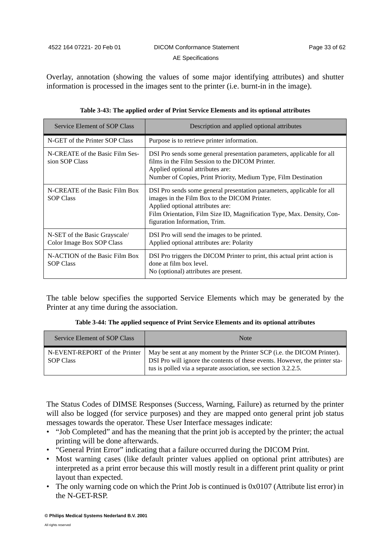Overlay, annotation (showing the values of some major identifying attributes) and shutter information is processed in the images sent to the printer (i.e. burnt-in in the image).

<span id="page-36-0"></span>

| <b>Service Element of SOP Class</b>                        | Description and applied optional attributes                                                                                                                                                                                                                           |
|------------------------------------------------------------|-----------------------------------------------------------------------------------------------------------------------------------------------------------------------------------------------------------------------------------------------------------------------|
| N-GET of the Printer SOP Class                             | Purpose is to retrieve printer information.                                                                                                                                                                                                                           |
| N-CREATE of the Basic Film Ses-<br>sion SOP Class          | DSI Pro sends some general presentation parameters, applicable for all<br>films in the Film Session to the DICOM Printer.<br>Applied optional attributes are:<br>Number of Copies, Print Priority, Medium Type, Film Destination                                      |
| N-CREATE of the Basic Film Box<br><b>SOP Class</b>         | DSI Pro sends some general presentation parameters, applicable for all<br>images in the Film Box to the DICOM Printer.<br>Applied optional attributes are:<br>Film Orientation, Film Size ID, Magnification Type, Max. Density, Con-<br>figuration Information, Trim. |
| N-SET of the Basic Grayscale/<br>Color Image Box SOP Class | DSI Pro will send the images to be printed.<br>Applied optional attributes are: Polarity                                                                                                                                                                              |
| N-ACTION of the Basic Film Box<br><b>SOP Class</b>         | DSI Pro triggers the DICOM Printer to print, this actual print action is<br>done at film box level.<br>No (optional) attributes are present.                                                                                                                          |

|  |  | Table 3-43: The applied order of Print Service Elements and its optional attributes |  |
|--|--|-------------------------------------------------------------------------------------|--|
|  |  |                                                                                     |  |

The table below specifies the supported Service Elements which may be generated by the Printer at any time during the association.

| Table 3-44: The applied sequence of Print Service Elements and its optional attributes |  |  |  |  |  |  |  |  |  |  |  |
|----------------------------------------------------------------------------------------|--|--|--|--|--|--|--|--|--|--|--|
|----------------------------------------------------------------------------------------|--|--|--|--|--|--|--|--|--|--|--|

| Service Element of SOP Class                      | <b>Note</b>                                                                                                                                                                                                             |
|---------------------------------------------------|-------------------------------------------------------------------------------------------------------------------------------------------------------------------------------------------------------------------------|
| N-EVENT-REPORT of the Printer<br><b>SOP Class</b> | May be sent at any moment by the Printer SCP (i.e. the DICOM Printer).<br>DSI Pro will ignore the contents of these events. However, the printer sta-<br>tus is polled via a separate association, see section 3.2.2.5. |

The Status Codes of DIMSE Responses (Success, Warning, Failure) as returned by the printer will also be logged (for service purposes) and they are mapped onto general print job status messages towards the operator. These User Interface messages indicate:

- "Job Completed" and has the meaning that the print job is accepted by the printer; the actual printing will be done afterwards.
- "General Print Error" indicating that a failure occurred during the DICOM Print.
- Most warning cases (like default printer values applied on optional print attributes) are interpreted as a print error because this will mostly result in a different print quality or print layout than expected.
- The only warning code on which the Print Job is continued is 0x0107 (Attribute list error) in the N-GET-RSP.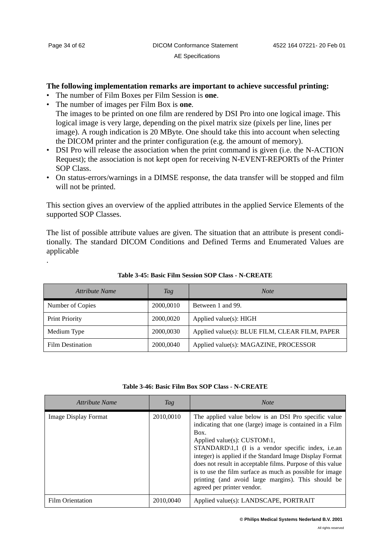.

#### **The following implementation remarks are important to achieve successful printing:**

- The number of Film Boxes per Film Session is **one**.
- The number of images per Film Box is **one**. The images to be printed on one film are rendered by DSI Pro into one logical image. This logical image is very large, depending on the pixel matrix size (pixels per line, lines per image). A rough indication is 20 MByte. One should take this into account when selecting the DICOM printer and the printer configuration (e.g. the amount of memory).
- DSI Pro will release the association when the print command is given (i.e. the N-ACTION Request); the association is not kept open for receiving N-EVENT-REPORTs of the Printer SOP Class.
- On status-errors/warnings in a DIMSE response, the data transfer will be stopped and film will not be printed.

This section gives an overview of the applied attributes in the applied Service Elements of the supported SOP Classes.

The list of possible attribute values are given. The situation that an attribute is present conditionally. The standard DICOM Conditions and Defined Terms and Enumerated Values are applicable

| Attribute Name          | Tag       | <b>Note</b>                                    |
|-------------------------|-----------|------------------------------------------------|
| Number of Copies        | 2000,0010 | Between 1 and 99.                              |
| <b>Print Priority</b>   | 2000,0020 | Applied value(s): HIGH                         |
| Medium Type             | 2000,0030 | Applied value(s): BLUE FILM, CLEAR FILM, PAPER |
| <b>Film Destination</b> | 2000,0040 | Applied value(s): MAGAZINE, PROCESSOR          |

**Table 3-45: Basic Film Session SOP Class - N-CREATE**

#### **Table 3-46: Basic Film Box SOP Class - N-CREATE**

| Attribute Name          | Tag       | <b>Note</b>                                                                                                                                                                                                                                                                                                                                                                                                                                                                               |
|-------------------------|-----------|-------------------------------------------------------------------------------------------------------------------------------------------------------------------------------------------------------------------------------------------------------------------------------------------------------------------------------------------------------------------------------------------------------------------------------------------------------------------------------------------|
| Image Display Format    | 2010,0010 | The applied value below is an DSI Pro specific value<br>indicating that one (large) image is contained in a Film<br>Box.<br>Applied value(s): CUSTOM\1,<br>$STANDARD\1,1$ (I is a vendor specific index, i.e.an<br>integer) is applied if the Standard Image Display Format<br>does not result in acceptable films. Purpose of this value<br>is to use the film surface as much as possible for image<br>printing (and avoid large margins). This should be<br>agreed per printer vendor. |
| <b>Film Orientation</b> | 2010,0040 | Applied value(s): LANDSCAPE, PORTRAIT                                                                                                                                                                                                                                                                                                                                                                                                                                                     |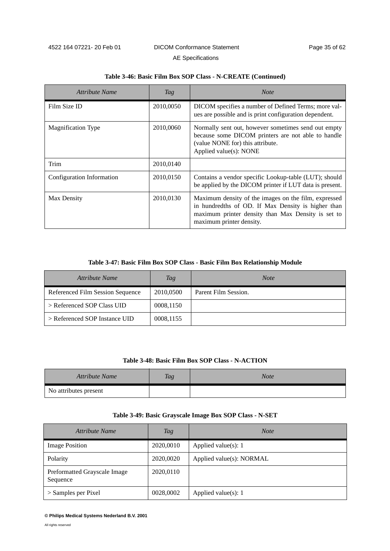| Attribute Name            | Tag       | <b>Note</b>                                                                                                                                                                                  |
|---------------------------|-----------|----------------------------------------------------------------------------------------------------------------------------------------------------------------------------------------------|
| Film Size ID              | 2010,0050 | DICOM specifies a number of Defined Terms; more val-<br>ues are possible and is print configuration dependent.                                                                               |
| <b>Magnification Type</b> | 2010,0060 | Normally sent out, however sometimes send out empty<br>because some DICOM printers are not able to handle<br>(value NONE for) this attribute.<br>Applied value(s): NONE                      |
| Trim                      | 2010,0140 |                                                                                                                                                                                              |
| Configuration Information | 2010,0150 | Contains a vendor specific Lookup-table (LUT); should<br>be applied by the DICOM printer if LUT data is present.                                                                             |
| Max Density               | 2010,0130 | Maximum density of the images on the film, expressed<br>in hundredths of OD. If Max Density is higher than<br>maximum printer density than Max Density is set to<br>maximum printer density. |

#### **Table 3-46: Basic Film Box SOP Class - N-CREATE (Continued)**

#### **Table 3-47: Basic Film Box SOP Class - Basic Film Box Relationship Module**

| Attribute Name                   | Tag       | <b>Note</b>          |
|----------------------------------|-----------|----------------------|
| Referenced Film Session Sequence | 2010,0500 | Parent Film Session. |
| > Referenced SOP Class UID       | 0008,1150 |                      |
| > Referenced SOP Instance UID    | 0008,1155 |                      |

#### **Table 3-48: Basic Film Box SOP Class - N-ACTION**

| <b>Attribute Name</b> | Tag | <b>Note</b> |
|-----------------------|-----|-------------|
| No attributes present |     |             |

#### **Table 3-49: Basic Grayscale Image Box SOP Class - N-SET**

| Attribute Name                           | Tag       | <b>Note</b>              |
|------------------------------------------|-----------|--------------------------|
| <b>Image Position</b>                    | 2020,0010 | Applied value $(s)$ : 1  |
| Polarity                                 | 2020,0020 | Applied value(s): NORMAL |
| Preformatted Grayscale Image<br>Sequence | 2020,0110 |                          |
| $>$ Samples per Pixel                    | 0028,0002 | Applied value(s): $1$    |

#### **© Philips Medical Systems Nederland B.V. 2001**

All rights reserved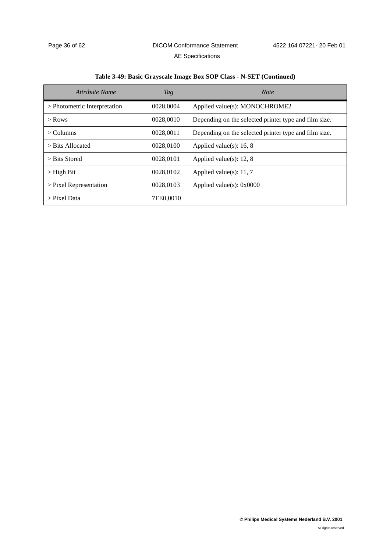|  | Table 3-49: Basic Grayscale Image Box SOP Class - N-SET (Continued) |
|--|---------------------------------------------------------------------|
|  |                                                                     |

| Attribute Name               | Tag       | <b>Note</b>                                           |
|------------------------------|-----------|-------------------------------------------------------|
| > Photometric Interpretation | 0028,0004 | Applied value(s): MONOCHROME2                         |
| $>$ Rows                     | 0028,0010 | Depending on the selected printer type and film size. |
| $\geq$ Columns               | 0028,0011 | Depending on the selected printer type and film size. |
| $>$ Bits Allocated           | 0028,0100 | Applied value(s): $16, 8$                             |
| $>$ Bits Stored              | 0028,0101 | Applied value(s): $12, 8$                             |
| $>$ High Bit                 | 0028.0102 | Applied value(s): $11, 7$                             |
| $>$ Pixel Representation     | 0028,0103 | Applied value(s): $0x0000$                            |
| > Pixel Data                 | 7FE0.0010 |                                                       |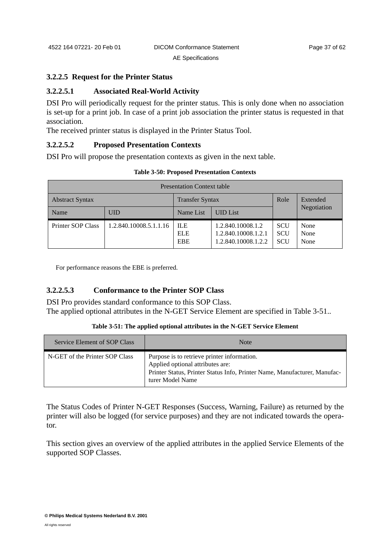#### <span id="page-40-0"></span>**3.2.2.5 Request for the Printer Status**

#### **3.2.2.5.1 Associated Real-World Activity**

DSI Pro will periodically request for the printer status. This is only done when no association is set-up for a print job. In case of a print job association the printer status is requested in that association.

The received printer status is displayed in the Printer Status Tool.

#### **3.2.2.5.2 Proposed Presentation Contexts**

DSI Pro will propose the presentation contexts as given in the next table.

| <b>Table 3-50: Proposed Presentation Contexts</b> |
|---------------------------------------------------|
|---------------------------------------------------|

| <b>Presentation Context table</b> |                        |                                        |                                                                 |                                        |                      |
|-----------------------------------|------------------------|----------------------------------------|-----------------------------------------------------------------|----------------------------------------|----------------------|
| <b>Abstract Syntax</b>            |                        | <b>Transfer Syntax</b>                 |                                                                 | Role                                   | Extended             |
| Name                              | <b>UID</b>             | Name List                              | <b>UID</b> List                                                 |                                        | Negotiation          |
| Printer SOP Class                 | 1.2.840.10008.5.1.1.16 | <b>ILE</b><br><b>ELE</b><br><b>EBE</b> | 1.2.840.10008.1.2<br>1.2.840.10008.1.2.1<br>1.2.840.10008.1.2.2 | <b>SCU</b><br><b>SCU</b><br><b>SCU</b> | None<br>None<br>None |

For performance reasons the EBE is preferred.

#### **3.2.2.5.3 Conformance to the Printer SOP Class**

DSI Pro provides standard conformance to this SOP Class. The applied optional attributes in the N-GET Service Element are specified in [Table 3-51](#page-40-1)..

|  | Table 3-51: The applied optional attributes in the N-GET Service Element |
|--|--------------------------------------------------------------------------|
|--|--------------------------------------------------------------------------|

<span id="page-40-1"></span>

| Service Element of SOP Class   | <b>Note</b>                                                                                                                                                                      |
|--------------------------------|----------------------------------------------------------------------------------------------------------------------------------------------------------------------------------|
| N-GET of the Printer SOP Class | Purpose is to retrieve printer information.<br>Applied optional attributes are:<br>Printer Status, Printer Status Info, Printer Name, Manufacturer, Manufac-<br>turer Model Name |

The Status Codes of Printer N-GET Responses (Success, Warning, Failure) as returned by the printer will also be logged (for service purposes) and they are not indicated towards the operator.

This section gives an overview of the applied attributes in the applied Service Elements of the supported SOP Classes.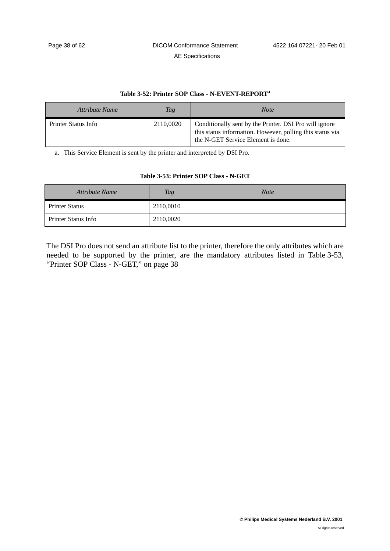#### **Table 3-52: Printer SOP Class - N-EVENT-REPORTa**

| Attribute Name      | Tag       | <b>Note</b>                                                                                                                                               |
|---------------------|-----------|-----------------------------------------------------------------------------------------------------------------------------------------------------------|
| Printer Status Info | 2110,0020 | Conditionally sent by the Printer. DSI Pro will ignore<br>this status information. However, polling this status via<br>the N-GET Service Element is done. |

a. This Service Element is sent by the printer and interpreted by DSI Pro.

#### **Table 3-53: Printer SOP Class - N-GET**

<span id="page-41-0"></span>

| Attribute Name        | <b>Tag</b> | <b>Note</b> |
|-----------------------|------------|-------------|
| <b>Printer Status</b> | 2110,0010  |             |
| Printer Status Info   | 2110,0020  |             |

The DSI Pro does not send an attribute list to the printer, therefore the only attributes which are needed to be supported by the printer, are the mandatory attributes listed in [Table 3-53,](#page-41-0) ["Printer SOP Class - N-GET," on page 38](#page-41-0)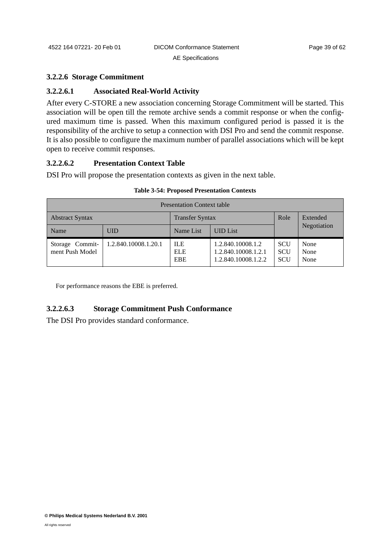#### **3.2.2.6 Storage Commitment**

### **3.2.2.6.1 Associated Real-World Activity**

After every C-STORE a new association concerning Storage Commitment will be started. This association will be open till the remote archive sends a commit response or when the configured maximum time is passed. When this maximum configured period is passed it is the responsibility of the archive to setup a connection with DSI Pro and send the commit response. It is also possible to configure the maximum number of parallel associations which will be kept open to receive commit responses.

#### **3.2.2.6.2 Presentation Context Table**

DSI Pro will propose the presentation contexts as given in the next table.

| <b>Presentation Context table</b>                |                      |                                        |                                                                 |                                        |                      |
|--------------------------------------------------|----------------------|----------------------------------------|-----------------------------------------------------------------|----------------------------------------|----------------------|
| <b>Abstract Syntax</b><br><b>Transfer Syntax</b> |                      | Role                                   | Extended                                                        |                                        |                      |
| Name                                             | UID                  | Name List                              | <b>UID</b> List                                                 |                                        | Negotiation          |
| Storage Commit-<br>ment Push Model               | 1.2.840.10008.1.20.1 | <b>ILE</b><br><b>ELE</b><br><b>EBE</b> | 1.2.840.10008.1.2<br>1.2.840.10008.1.2.1<br>1.2.840.10008.1.2.2 | <b>SCU</b><br><b>SCU</b><br><b>SCU</b> | None<br>None<br>None |

#### **Table 3-54: Proposed Presentation Contexts**

For performance reasons the EBE is preferred.

# **3.2.2.6.3 Storage Commitment Push Conformance**

The DSI Pro provides standard conformance.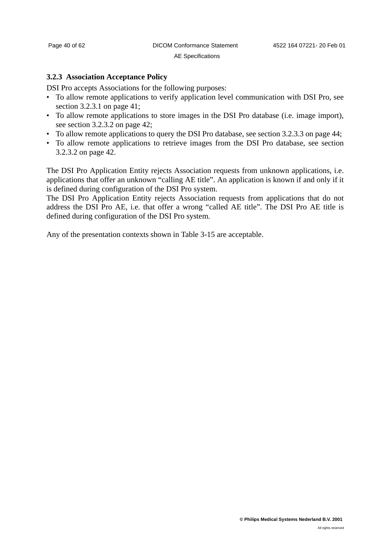#### <span id="page-43-0"></span>**3.2.3 Association Acceptance Policy**

DSI Pro accepts Associations for the following purposes:

- To allow remote applications to verify application level communication with DSI Pro, see [section 3.2.3.1 on page 41;](#page-44-0)
- To allow remote applications to store images in the DSI Pro database (i.e. image import), see [section 3.2.3.2 on page 42](#page-45-0);
- To allow remote applications to query the DSI Pro database, see [section 3.2.3.3 on page 44](#page-47-0);
- To allow remote applications to retrieve images from the DSI Pro database, see [section](#page-45-0) [3.2.3.2 on page 42.](#page-45-0)

The DSI Pro Application Entity rejects Association requests from unknown applications, i.e. applications that offer an unknown "calling AE title". An application is known if and only if it is defined during configuration of the DSI Pro system.

The DSI Pro Application Entity rejects Association requests from applications that do not address the DSI Pro AE, i.e. that offer a wrong "called AE title". The DSI Pro AE title is defined during configuration of the DSI Pro system.

Any of the presentation contexts shown in [Table 3-15](#page-21-1) are acceptable.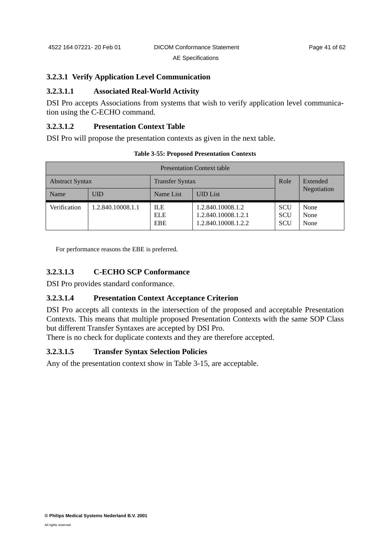#### <span id="page-44-0"></span>**3.2.3.1 Verify Application Level Communication**

#### **3.2.3.1.1 Associated Real-World Activity**

DSI Pro accepts Associations from systems that wish to verify application level communication using the C-ECHO command.

#### **3.2.3.1.2 Presentation Context Table**

DSI Pro will propose the presentation contexts as given in the next table.

| <b>Presentation Context table</b>                |                   |                                        |                                                                 |                                        |                      |
|--------------------------------------------------|-------------------|----------------------------------------|-----------------------------------------------------------------|----------------------------------------|----------------------|
| <b>Transfer Syntax</b><br><b>Abstract Syntax</b> |                   |                                        | Role                                                            | Extended                               |                      |
| Name                                             | <b>UID</b>        | Name List                              | <b>UID</b> List                                                 |                                        | Negotiation          |
| Verification                                     | 1.2.840.10008.1.1 | <b>ILE</b><br><b>ELE</b><br><b>EBE</b> | 1.2.840.10008.1.2<br>1.2.840.10008.1.2.1<br>1.2.840.10008.1.2.2 | <b>SCU</b><br><b>SCU</b><br><b>SCU</b> | None<br>None<br>None |

**Table 3-55: Proposed Presentation Contexts**

For performance reasons the EBE is preferred.

### **3.2.3.1.3 C-ECHO SCP Conformance**

DSI Pro provides standard conformance.

#### **3.2.3.1.4 Presentation Context Acceptance Criterion**

DSI Pro accepts all contexts in the intersection of the proposed and acceptable Presentation Contexts. This means that multiple proposed Presentation Contexts with the same SOP Class but different Transfer Syntaxes are accepted by DSI Pro.

There is no check for duplicate contexts and they are therefore accepted.

#### **3.2.3.1.5 Transfer Syntax Selection Policies**

Any of the presentation context show in [Table 3-15](#page-21-1), are acceptable.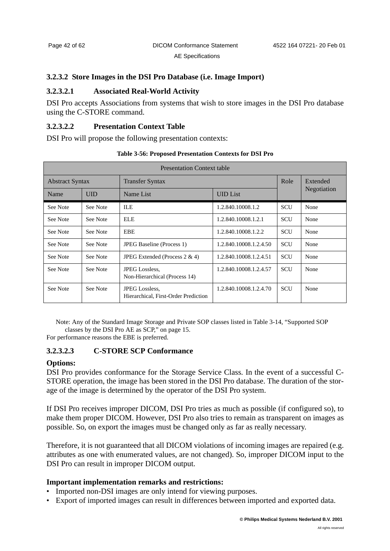#### <span id="page-45-0"></span>**3.2.3.2 Store Images in the DSI Pro Database (i.e. Image Import)**

# **3.2.3.2.1 Associated Real-World Activity**

DSI Pro accepts Associations from systems that wish to store images in the DSI Pro database using the C-STORE command.

#### **3.2.3.2.2 Presentation Context Table**

DSI Pro will propose the following presentation contexts:

| <b>Presentation Context table</b> |          |                                                               |                        |            |             |  |
|-----------------------------------|----------|---------------------------------------------------------------|------------------------|------------|-------------|--|
| <b>Abstract Syntax</b>            |          | <b>Transfer Syntax</b>                                        |                        | Role       | Extended    |  |
| Name                              | UID      | Name List                                                     | <b>UID</b> List        |            | Negotiation |  |
| See Note                          | See Note | <b>ILE</b>                                                    | 1.2.840.10008.1.2      | <b>SCU</b> | None        |  |
| See Note                          | See Note | <b>ELE</b>                                                    | 1.2.840.10008.1.2.1    | <b>SCU</b> | None        |  |
| See Note                          | See Note | EBE                                                           | 1.2.840.10008.1.2.2    | <b>SCU</b> | None        |  |
| See Note                          | See Note | <b>JPEG Baseline</b> (Process 1)                              | 1.2.840.10008.1.2.4.50 | <b>SCU</b> | None        |  |
| See Note                          | See Note | JPEG Extended (Process $2 \& 4$ )                             | 1.2.840.10008.1.2.4.51 | <b>SCU</b> | None        |  |
| See Note                          | See Note | <b>JPEG</b> Lossless,<br>Non-Hierarchical (Process 14)        | 1.2.840.10008.1.2.4.57 | <b>SCU</b> | None        |  |
| See Note                          | See Note | <b>JPEG</b> Lossless,<br>Hierarchical, First-Order Prediction | 1.2.840.10008.1.2.4.70 | <b>SCU</b> | None        |  |

**Table 3-56: Proposed Presentation Contexts for DSI Pro**

Note: Any of the Standard Image Storage and Private SOP classes listed in [Table 3-14, "Supported SOP](#page-18-2) 

[classes by the DSI Pro AE as SCP," on page 15](#page-18-2).

For performance reasons the EBE is preferred.

# <span id="page-45-1"></span>**3.2.3.2.3 C-STORE SCP Conformance**

#### **Options:**

DSI Pro provides conformance for the Storage Service Class. In the event of a successful C-STORE operation, the image has been stored in the DSI Pro database. The duration of the storage of the image is determined by the operator of the DSI Pro system.

If DSI Pro receives improper DICOM, DSI Pro tries as much as possible (if configured so), to make them proper DICOM. However, DSI Pro also tries to remain as transparent on images as possible. So, on export the images must be changed only as far as really necessary.

Therefore, it is not guaranteed that all DICOM violations of incoming images are repaired (e.g. attributes as one with enumerated values, are not changed). So, improper DICOM input to the DSI Pro can result in improper DICOM output.

#### **Important implementation remarks and restrictions:**

- Imported non-DSI images are only intend for viewing purposes.
- Export of imported images can result in differences between imported and exported data.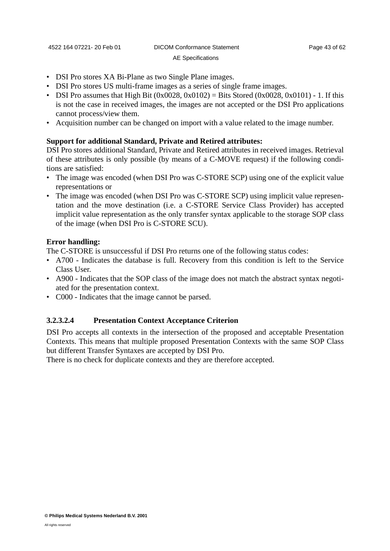# • DSI Pro stores XA Bi-Plane as two Single Plane images.

- DSI Pro stores US multi-frame images as a series of single frame images.
- DSI Pro assumes that High Bit  $(0x0028, 0x0102) =$  Bits Stored  $(0x0028, 0x0101) 1$ . If this is not the case in received images, the images are not accepted or the DSI Pro applications cannot process/view them.
- Acquisition number can be changed on import with a value related to the image number.

# **Support for additional Standard, Private and Retired attributes:**

DSI Pro stores additional Standard, Private and Retired attributes in received images. Retrieval of these attributes is only possible (by means of a C-MOVE request) if the following conditions are satisfied:

- The image was encoded (when DSI Pro was C-STORE SCP) using one of the explicit value representations or
- The image was encoded (when DSI Pro was C-STORE SCP) using implicit value representation and the move destination (i.e. a C-STORE Service Class Provider) has accepted implicit value representation as the only transfer syntax applicable to the storage SOP class of the image (when DSI Pro is C-STORE SCU).

# **Error handling:**

The C-STORE is unsuccessful if DSI Pro returns one of the following status codes:

- A700 Indicates the database is full. Recovery from this condition is left to the Service Class User.
- A900 Indicates that the SOP class of the image does not match the abstract syntax negotiated for the presentation context.
- C000 Indicates that the image cannot be parsed.

# **3.2.3.2.4 Presentation Context Acceptance Criterion**

DSI Pro accepts all contexts in the intersection of the proposed and acceptable Presentation Contexts. This means that multiple proposed Presentation Contexts with the same SOP Class but different Transfer Syntaxes are accepted by DSI Pro.

There is no check for duplicate contexts and they are therefore accepted.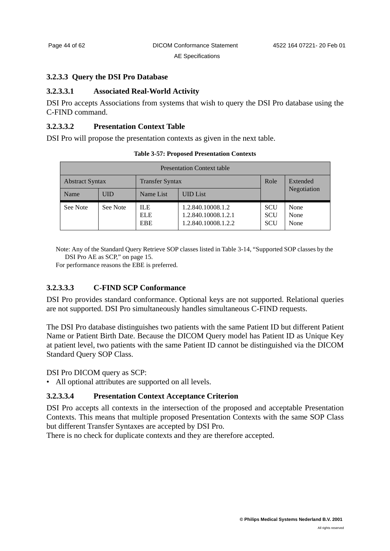#### <span id="page-47-0"></span>**3.2.3.3 Query the DSI Pro Database**

### **3.2.3.3.1 Associated Real-World Activity**

DSI Pro accepts Associations from systems that wish to query the DSI Pro database using the C-FIND command.

#### **3.2.3.3.2 Presentation Context Table**

DSI Pro will propose the presentation contexts as given in the next table.

| <b>Presentation Context table</b>                |            |                                  |                                                                 |                                        |                      |
|--------------------------------------------------|------------|----------------------------------|-----------------------------------------------------------------|----------------------------------------|----------------------|
| <b>Abstract Syntax</b><br><b>Transfer Syntax</b> |            |                                  | Role                                                            | Extended                               |                      |
| Name                                             | <b>UID</b> | Name List                        | <b>UID</b> List                                                 |                                        | Negotiation          |
| See Note                                         | See Note   | ILE.<br><b>ELE</b><br><b>EBE</b> | 1.2.840.10008.1.2<br>1.2.840.10008.1.2.1<br>1.2.840.10008.1.2.2 | <b>SCU</b><br><b>SCU</b><br><b>SCU</b> | None<br>None<br>None |

**Table 3-57: Proposed Presentation Contexts**

Note: Any of the Standard Query Retrieve SOP classes listed in [Table 3-14, "Supported SOP classes by the](#page-18-2)  [DSI Pro AE as SCP," on page 15.](#page-18-2)

For performance reasons the EBE is preferred.

### **3.2.3.3.3 C-FIND SCP Conformance**

DSI Pro provides standard conformance. Optional keys are not supported. Relational queries are not supported. DSI Pro simultaneously handles simultaneous C-FIND requests.

The DSI Pro database distinguishes two patients with the same Patient ID but different Patient Name or Patient Birth Date. Because the DICOM Query model has Patient ID as Unique Key at patient level, two patients with the same Patient ID cannot be distinguished via the DICOM Standard Query SOP Class.

DSI Pro DICOM query as SCP:

• All optional attributes are supported on all levels.

#### **3.2.3.3.4 Presentation Context Acceptance Criterion**

DSI Pro accepts all contexts in the intersection of the proposed and acceptable Presentation Contexts. This means that multiple proposed Presentation Contexts with the same SOP Class but different Transfer Syntaxes are accepted by DSI Pro.

There is no check for duplicate contexts and they are therefore accepted.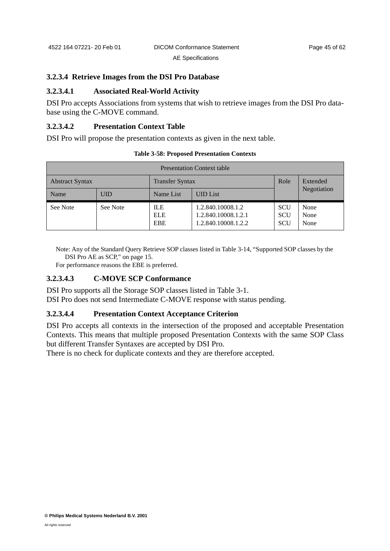#### **3.2.3.4 Retrieve Images from the DSI Pro Database**

#### **3.2.3.4.1 Associated Real-World Activity**

DSI Pro accepts Associations from systems that wish to retrieve images from the DSI Pro database using the C-MOVE command.

# **3.2.3.4.2 Presentation Context Table**

DSI Pro will propose the presentation contexts as given in the next table.

| <b>Presentation Context table</b>                |            |                                        |                                                                 |                                        |                      |
|--------------------------------------------------|------------|----------------------------------------|-----------------------------------------------------------------|----------------------------------------|----------------------|
| <b>Transfer Syntax</b><br><b>Abstract Syntax</b> |            |                                        | Role                                                            | Extended                               |                      |
| Name                                             | <b>UID</b> | Name List                              | <b>UID</b> List                                                 |                                        | Negotiation          |
| See Note                                         | See Note   | <b>ILE</b><br><b>ELE</b><br><b>EBE</b> | 1.2.840.10008.1.2<br>1.2.840.10008.1.2.1<br>1.2.840.10008.1.2.2 | <b>SCU</b><br><b>SCU</b><br><b>SCU</b> | None<br>None<br>None |

**Table 3-58: Proposed Presentation Contexts**

Note: Any of the Standard Query Retrieve SOP classes listed in [Table 3-14, "Supported SOP classes by the](#page-18-2)  [DSI Pro AE as SCP," on page 15.](#page-18-2)

For performance reasons the EBE is preferred.

#### **3.2.3.4.3 C-MOVE SCP Conformance**

DSI Pro supports all the Storage SOP classes listed in [Table 3-1.](#page-12-5) DSI Pro does not send Intermediate C-MOVE response with status pending.

#### **3.2.3.4.4 Presentation Context Acceptance Criterion**

DSI Pro accepts all contexts in the intersection of the proposed and acceptable Presentation Contexts. This means that multiple proposed Presentation Contexts with the same SOP Class but different Transfer Syntaxes are accepted by DSI Pro.

There is no check for duplicate contexts and they are therefore accepted.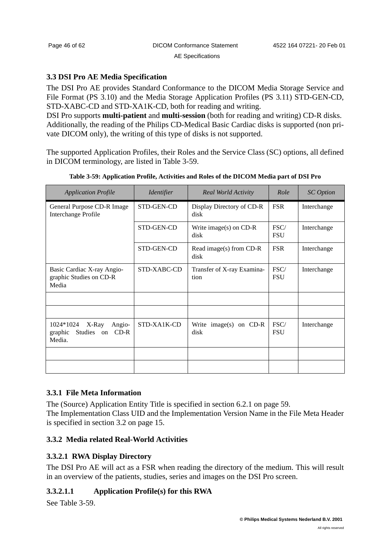### <span id="page-49-0"></span>**3.3 DSI Pro AE Media Specification**

The DSI Pro AE provides Standard Conformance to the DICOM Media Storage Service and File Format (PS 3.10) and the Media Storage Application Profiles (PS 3.11) STD-GEN-CD, STD-XABC-CD and STD-XA1K-CD, both for reading and writing.

DSI Pro supports **multi-patient** and **multi-session** (both for reading and writing) CD-R disks. Additionally, the reading of the Philips CD-Medical Basic Cardiac disks is supported (non private DICOM only), the writing of this type of disks is not supported.

The supported Application Profiles, their Roles and the Service Class (SC) options, all defined in DICOM terminology, are listed in [Table 3-59](#page-49-3).

<span id="page-49-3"></span>

| <b>Application Profile</b>                                                | <b>Identifier</b> | <b>Real World Activity</b>         | Role               | <b>SC</b> Option |
|---------------------------------------------------------------------------|-------------------|------------------------------------|--------------------|------------------|
| General Purpose CD-R Image<br>Interchange Profile                         | STD-GEN-CD        | Display Directory of CD-R<br>disk  | <b>FSR</b>         | Interchange      |
|                                                                           | STD-GEN-CD        | Write image(s) on CD-R<br>disk     | FSC/<br><b>FSU</b> | Interchange      |
|                                                                           | STD-GEN-CD        | Read image(s) from $CD-R$<br>disk  | <b>FSR</b>         | Interchange      |
| Basic Cardiac X-ray Angio-<br>graphic Studies on CD-R<br>Media            | STD-XABC-CD       | Transfer of X-ray Examina-<br>tion | FSC/<br><b>FSU</b> | Interchange      |
|                                                                           |                   |                                    |                    |                  |
|                                                                           |                   |                                    |                    |                  |
| 1024*1024<br>X-Ray<br>Angio-<br>Studies on<br>$CD-R$<br>graphic<br>Media. | STD-XA1K-CD       | Write image(s) on $CD-R$<br>disk   | FSC/<br><b>FSU</b> | Interchange      |
|                                                                           |                   |                                    |                    |                  |
|                                                                           |                   |                                    |                    |                  |

**Table 3-59: Application Profile, Activities and Roles of the DICOM Media part of DSI Pro**

# <span id="page-49-1"></span>**3.3.1 File Meta Information**

The (Source) Application Entity Title is specified in [section 6.2.1 on page 59](#page-62-1). The Implementation Class UID and the Implementation Version Name in the File Meta Header is specified in [section 3.2 on page 15](#page-18-0).

# <span id="page-49-2"></span>**3.3.2 Media related Real-World Activities**

# **3.3.2.1 RWA Display Directory**

The DSI Pro AE will act as a FSR when reading the directory of the medium. This will result in an overview of the patients, studies, series and images on the DSI Pro screen.

# **3.3.2.1.1 Application Profile(s) for this RWA**

See [Table 3-59.](#page-49-3)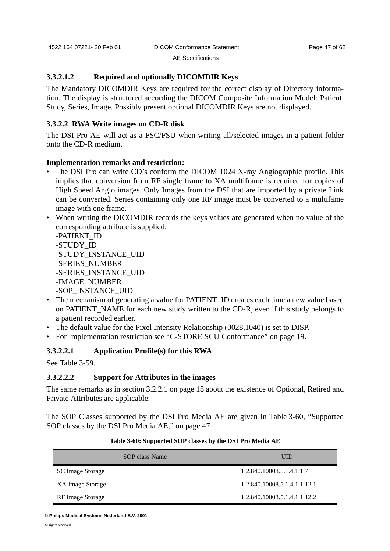#### **3.3.2.1.2 Required and optionally DICOMDIR Keys**

The Mandatory DICOMDIR Keys are required for the correct display of Directory information. The display is structured according the DICOM Composite Information Model: Patient, Study, Series, Image. Possibly present optional DICOMDIR Keys are not displayed.

# **3.3.2.2 RWA Write images on CD-R disk**

The DSI Pro AE will act as a FSC/FSU when writing all/selected images in a patient folder onto the CD-R medium.

#### **Implementation remarks and restriction:**

- The DSI Pro can write CD's conform the DICOM 1024 X-ray Angiographic profile. This implies that conversion from RF single frame to XA multiframe is required for copies of High Speed Angio images. Only Images from the DSI that are imported by a private Link can be converted. Series containing only one RF image must be converted to a multifame image with one frame.
- When writing the DICOMDIR records the keys values are generated when no value of the corresponding attribute is supplied:

-PATIENT\_ID -STUDY\_ID -STUDY\_INSTANCE\_UID -SERIES\_NUMBER -SERIES\_INSTANCE\_UID -IMAGE\_NUMBER -SOP\_INSTANCE\_UID

- The mechanism of generating a value for PATIENT\_ID creates each time a new value based on PATIENT\_NAME for each new study written to the CD-R, even if this study belongs to a patient recorded earlier.
- The default value for the Pixel Intensity Relationship (0028,1040) is set to DISP.
- For Implementation restriction see ["C-STORE SCU Conformance" on page 19](#page-22-0).

#### **3.3.2.2.1 Application Profile(s) for this RWA**

See [Table 3-59.](#page-49-3)

#### **3.3.2.2.2 Support for Attributes in the images**

The same remarks as in [section 3.2.2.1 on page 18](#page-21-0) about the existence of Optional, Retired and Private Attributes are applicable.

The SOP Classes supported by the DSI Pro Media AE are given in [Table 3-60, "Supported](#page-50-0) [SOP classes by the DSI Pro Media AE," on page 47](#page-50-0)

<span id="page-50-0"></span>

| SOP class Name          | UID                          |
|-------------------------|------------------------------|
| SC Image Storage        | 1.2.840.10008.5.1.4.1.1.7    |
| XA Image Storage        | 1.2.840.10008.5.1.4.1.1.12.1 |
| <b>RF</b> Image Storage | 1.2.840.10008.5.1.4.1.1.12.2 |

#### **Table 3-60: Supported SOP classes by the DSI Pro Media AE**

**<sup>©</sup> Philips Medical Systems Nederland B.V. 2001**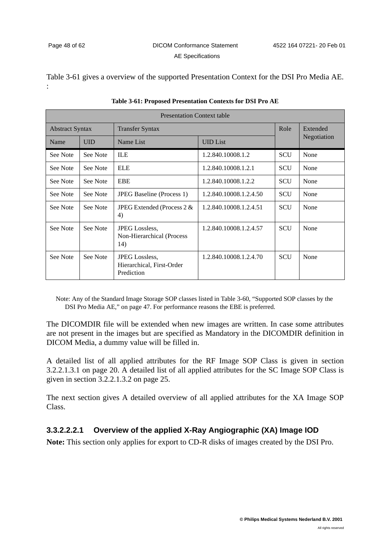[Table 3-61](#page-51-0) gives a overview of the supported Presentation Context for the DSI Pro Media AE. :

<span id="page-51-0"></span>

| <b>Presentation Context table</b> |                                                  |                                                                  |                        |            |             |
|-----------------------------------|--------------------------------------------------|------------------------------------------------------------------|------------------------|------------|-------------|
|                                   | <b>Abstract Syntax</b><br><b>Transfer Syntax</b> |                                                                  | Role                   | Extended   |             |
| Name                              | <b>UID</b>                                       | Name List                                                        | <b>UID</b> List        |            | Negotiation |
| See Note                          | See Note                                         | <b>ILE</b>                                                       | 1.2.840.10008.1.2      | <b>SCU</b> | None        |
| See Note                          | See Note                                         | <b>ELE</b>                                                       | 1.2.840.10008.1.2.1    | <b>SCU</b> | None        |
| See Note                          | See Note                                         | EBE                                                              | 1.2.840.10008.1.2.2    | <b>SCU</b> | None        |
| See Note                          | See Note                                         | <b>JPEG Baseline</b> (Process 1)                                 | 1.2.840.10008.1.2.4.50 | <b>SCU</b> | None        |
| See Note                          | See Note                                         | JPEG Extended (Process $2 &$<br>4)                               | 1.2.840.10008.1.2.4.51 | SCU        | None        |
| See Note                          | See Note                                         | <b>JPEG</b> Lossless.<br>Non-Hierarchical (Process<br>14)        | 1.2.840.10008.1.2.4.57 | <b>SCU</b> | None        |
| See Note                          | See Note                                         | <b>JPEG</b> Lossless.<br>Hierarchical, First-Order<br>Prediction | 1.2.840.10008.1.2.4.70 | <b>SCU</b> | None        |

| Table 3-61: Proposed Presentation Contexts for DSI Pro AE |  |  |  |  |
|-----------------------------------------------------------|--|--|--|--|
|-----------------------------------------------------------|--|--|--|--|

Note: Any of the Standard Image Storage SOP classes listed in [Table 3-60, "Supported SOP classes by the](#page-50-0)  [DSI Pro Media AE," on page 47.](#page-50-0) For performance reasons the EBE is preferred.

The DICOMDIR file will be extended when new images are written. In case some attributes are not present in the images but are specified as Mandatory in the DICOMDIR definition in DICOM Media, a dummy value will be filled in.

A detailed list of all applied attributes for the RF Image SOP Class is given in [section](#page-23-1) [3.2.2.1.3.1 on page 20](#page-23-1). A detailed list of all applied attributes for the SC Image SOP Class is given in [section 3.2.2.1.3.2 on page 25](#page-28-1).

The next section gives A detailed overview of all applied attributes for the XA Image SOP Class.

# **3.3.2.2.2.1 Overview of the applied X-Ray Angiographic (XA) Image IOD**

**Note:** This section only applies for export to CD-R disks of images created by the DSI Pro.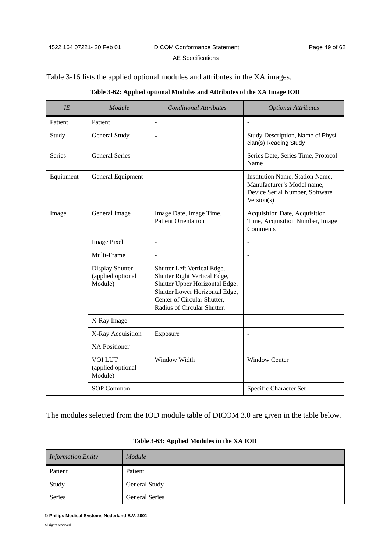# [Table 3-16](#page-23-0) lists the applied optional modules and attributes in the XA images.

|  |  | Table 3-62: Applied optional Modules and Attributes of the XA Image IOD |
|--|--|-------------------------------------------------------------------------|
|--|--|-------------------------------------------------------------------------|

| IE        | Module                                          | <b>Conditional Attributes</b>                                                                                                                                                                 | <b>Optional Attributes</b>                                                                                    |
|-----------|-------------------------------------------------|-----------------------------------------------------------------------------------------------------------------------------------------------------------------------------------------------|---------------------------------------------------------------------------------------------------------------|
| Patient   | Patient                                         | $\overline{\phantom{a}}$                                                                                                                                                                      | $\overline{\phantom{a}}$                                                                                      |
| Study     | General Study                                   | $\overline{\phantom{a}}$                                                                                                                                                                      | Study Description, Name of Physi-<br>cian(s) Reading Study                                                    |
| Series    | <b>General Series</b>                           |                                                                                                                                                                                               | Series Date, Series Time, Protocol<br>Name                                                                    |
| Equipment | General Equipment                               | $\blacksquare$                                                                                                                                                                                | Institution Name, Station Name,<br>Manufacturer's Model name,<br>Device Serial Number, Software<br>Version(s) |
| Image     | General Image                                   | Image Date, Image Time,<br><b>Patient Orientation</b>                                                                                                                                         | Acquisition Date, Acquisition<br>Time, Acquisition Number, Image<br>Comments                                  |
|           | <b>Image Pixel</b>                              | $\overline{a}$                                                                                                                                                                                |                                                                                                               |
|           | Multi-Frame                                     |                                                                                                                                                                                               | L.                                                                                                            |
|           | Display Shutter<br>(applied optional<br>Module) | Shutter Left Vertical Edge,<br>Shutter Right Vertical Edge,<br>Shutter Upper Horizontal Edge,<br>Shutter Lower Horizontal Edge,<br>Center of Circular Shutter,<br>Radius of Circular Shutter. | $\overline{a}$                                                                                                |
|           | X-Ray Image                                     |                                                                                                                                                                                               | $\overline{a}$                                                                                                |
|           | X-Ray Acquisition                               | Exposure                                                                                                                                                                                      |                                                                                                               |
|           | <b>XA Positioner</b>                            | $\overline{a}$                                                                                                                                                                                | ÷,                                                                                                            |
|           | <b>VOI LUT</b><br>(applied optional<br>Module)  | Window Width                                                                                                                                                                                  | <b>Window Center</b>                                                                                          |
|           | <b>SOP Common</b>                               | $\overline{\phantom{a}}$                                                                                                                                                                      | Specific Character Set                                                                                        |

The modules selected from the IOD module table of DICOM 3.0 are given in the table below.

| <b>Information Entity</b> | Module                |
|---------------------------|-----------------------|
| Patient                   | Patient               |
| Study                     | <b>General Study</b>  |
| <b>Series</b>             | <b>General Series</b> |

#### **Table 3-63: Applied Modules in the XA IOD**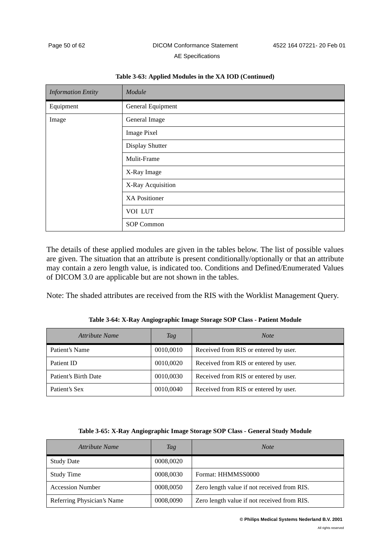| <b>Information Entity</b> | Module               |
|---------------------------|----------------------|
| Equipment                 | General Equipment    |
| Image                     | General Image        |
|                           | <b>Image Pixel</b>   |
|                           | Display Shutter      |
|                           | Mulit-Frame          |
|                           | X-Ray Image          |
|                           | X-Ray Acquisition    |
|                           | <b>XA Positioner</b> |
|                           | VOI LUT              |
|                           | SOP Common           |

#### **Table 3-63: Applied Modules in the XA IOD (Continued)**

The details of these applied modules are given in the tables below. The list of possible values are given. The situation that an attribute is present conditionally/optionally or that an attribute may contain a zero length value, is indicated too. Conditions and Defined/Enumerated Values of DICOM 3.0 are applicable but are not shown in the tables.

Note: The shaded attributes are received from the RIS with the Worklist Management Query.

<span id="page-53-0"></span>

| Attribute Name       | Tag       | <b>Note</b>                           |
|----------------------|-----------|---------------------------------------|
| Patient's Name       | 0010,0010 | Received from RIS or entered by user. |
| Patient ID           | 0010,0020 | Received from RIS or entered by user. |
| Patient's Birth Date | 0010,0030 | Received from RIS or entered by user. |
| Patient's Sex        | 0010,0040 | Received from RIS or entered by user. |

**Table 3-64: X-Ray Angiographic Image Storage SOP Class - Patient Module**

|  |  | Table 3-65: X-Ray Angiographic Image Storage SOP Class - General Study Module |  |  |
|--|--|-------------------------------------------------------------------------------|--|--|
|--|--|-------------------------------------------------------------------------------|--|--|

<span id="page-53-1"></span>

| Attribute Name             | Tag       | <b>Note</b>                                 |
|----------------------------|-----------|---------------------------------------------|
| <b>Study Date</b>          | 0008,0020 |                                             |
| <b>Study Time</b>          | 0008,0030 | Format: HHMMSS0000                          |
| <b>Accession Number</b>    | 0008,0050 | Zero length value if not received from RIS. |
| Referring Physician's Name | 0008,0090 | Zero length value if not received from RIS. |

#### **© Philips Medical Systems Nederland B.V. 2001**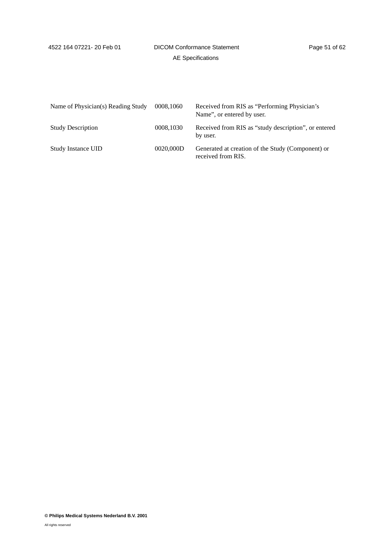<span id="page-54-0"></span>

| Name of Physician(s) Reading Study | 0008,1060 | Received from RIS as "Performing Physician's<br>Name", or entered by user. |
|------------------------------------|-----------|----------------------------------------------------------------------------|
| <b>Study Description</b>           | 0008,1030 | Received from RIS as "study description", or entered<br>by user.           |
| <b>Study Instance UID</b>          | 0020,000D | Generated at creation of the Study (Component) or<br>received from RIS.    |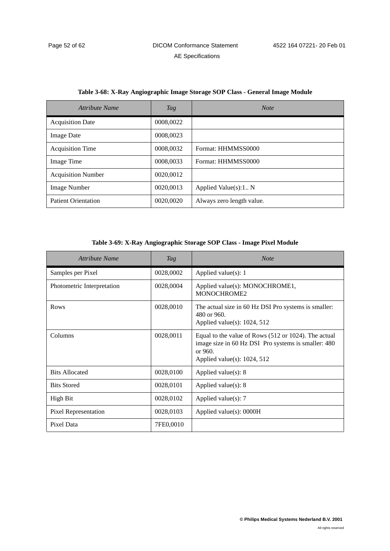| Attribute Name             | Tag       | <b>Note</b>               |
|----------------------------|-----------|---------------------------|
| <b>Acquisition Date</b>    | 0008,0022 |                           |
| <b>Image Date</b>          | 0008,0023 |                           |
| <b>Acquisition Time</b>    | 0008,0032 | Format: HHMMSS0000        |
| Image Time                 | 0008,0033 | Format: HHMMSS0000        |
| <b>Acquisition Number</b>  | 0020,0012 |                           |
| <b>Image Number</b>        | 0020.0013 | Applied Value(s):1 N      |
| <b>Patient Orientation</b> | 0020,0020 | Always zero length value. |

#### **Table 3-68: X-Ray Angiographic Image Storage SOP Class - General Image Module**

#### **Table 3-69: X-Ray Angiographic Storage SOP Class - Image Pixel Module**

| Attribute Name              | Tag       | <b>Note</b>                                                                                                                                                |
|-----------------------------|-----------|------------------------------------------------------------------------------------------------------------------------------------------------------------|
| Samples per Pixel           | 0028,0002 | Applied value(s): 1                                                                                                                                        |
| Photometric Interpretation  | 0028,0004 | Applied value(s): MONOCHROME1,<br>MONOCHROME2                                                                                                              |
| Rows                        | 0028,0010 | The actual size in 60 Hz DSI Pro systems is smaller:<br>480 or 960.<br>Applied value(s): $1024$ , $512$                                                    |
| Columns                     | 0028,0011 | Equal to the value of Rows (512 or 1024). The actual<br>image size in 60 Hz DSI Pro systems is smaller: 480<br>or $960.$<br>Applied value(s): $1024$ , 512 |
| <b>Bits Allocated</b>       | 0028,0100 | Applied value $(s)$ : 8                                                                                                                                    |
| <b>Bits Stored</b>          | 0028,0101 | Applied value(s): $8$                                                                                                                                      |
| High Bit                    | 0028,0102 | Applied value $(s)$ : 7                                                                                                                                    |
| <b>Pixel Representation</b> | 0028,0103 | Applied value(s): 0000H                                                                                                                                    |
| Pixel Data                  | 7FE0,0010 |                                                                                                                                                            |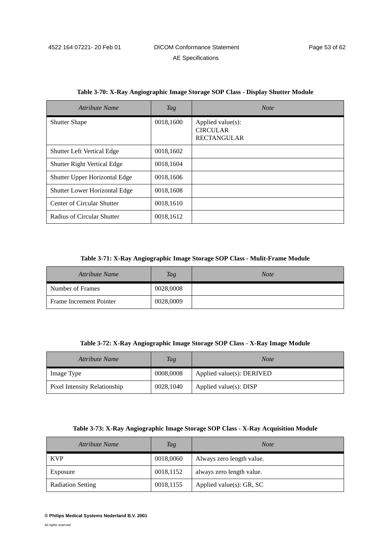| Attribute Name                       | Tag       | <b>Note</b>                                                |
|--------------------------------------|-----------|------------------------------------------------------------|
| <b>Shutter Shape</b>                 | 0018,1600 | Applied value(s):<br><b>CIRCULAR</b><br><b>RECTANGULAR</b> |
| <b>Shutter Left Vertical Edge</b>    | 0018,1602 |                                                            |
| Shutter Right Vertical Edge          | 0018,1604 |                                                            |
| Shutter Upper Horizontal Edge        | 0018,1606 |                                                            |
| <b>Shutter Lower Horizontal Edge</b> | 0018,1608 |                                                            |
| Center of Circular Shutter           | 0018,1610 |                                                            |
| Radius of Circular Shutter           | 0018,1612 |                                                            |

#### **Table 3-70: X-Ray Angiographic Image Storage SOP Class - Display Shutter Module**

#### **Table 3-71: X-Ray Angiographic Image Storage SOP Class - Mulit-Frame Module**

| <b>Attribute Name</b>   | <b>Tag</b> | <b>Note</b> |
|-------------------------|------------|-------------|
| Number of Frames        | 0028,0008  |             |
| Frame Increment Pointer | 0028,0009  |             |

#### **Table 3-72: X-Ray Angiographic Image Storage SOP Class - X-Ray Image Module**

| Attribute Name               | Tag       | <b>Note</b>                   |
|------------------------------|-----------|-------------------------------|
| Image Type                   | 0008,0008 | Applied value $(s)$ : DERIVED |
| Pixel Intensity Relationship | 0028,1040 | Applied value(s): DISP        |

#### **Table 3-73: X-Ray Angiographic Image Storage SOP Class - X-Ray Acquisition Module**

| Attribute Name           | <b>Tag</b> | <b>Note</b>                  |
|--------------------------|------------|------------------------------|
| <b>KVP</b>               | 0018,0060  | Always zero length value.    |
| Exposure                 | 0018,1152  | always zero length value.    |
| <b>Radiation Setting</b> | 0018,1155  | Applied value $(s)$ : GR, SC |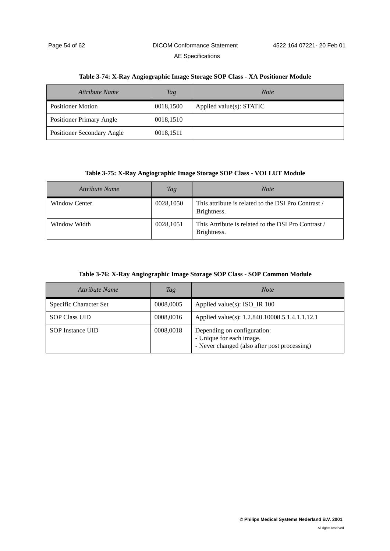| Attribute Name                  | Tag       | <b>Note</b>              |
|---------------------------------|-----------|--------------------------|
| <b>Positioner Motion</b>        | 0018,1500 | Applied value(s): STATIC |
| <b>Positioner Primary Angle</b> | 0018,1510 |                          |
| Positioner Secondary Angle      | 0018,1511 |                          |

#### **Table 3-74: X-Ray Angiographic Image Storage SOP Class - XA Positioner Module**

#### **Table 3-75: X-Ray Angiographic Image Storage SOP Class - VOI LUT Module**

| Attribute Name | Tag       | <b>Note</b>                                                        |
|----------------|-----------|--------------------------------------------------------------------|
| Window Center  | 0028,1050 | This attribute is related to the DSI Pro Contrast /<br>Brightness. |
| Window Width   | 0028,1051 | This Attribute is related to the DSI Pro Contrast /<br>Brightness. |

#### **Table 3-76: X-Ray Angiographic Image Storage SOP Class - SOP Common Module**

| Attribute Name          | Tag       | <b>Note</b>                                                                                             |  |
|-------------------------|-----------|---------------------------------------------------------------------------------------------------------|--|
| Specific Character Set  | 0008,0005 | Applied value(s): ISO_IR 100                                                                            |  |
| <b>SOP Class UID</b>    | 0008,0016 | Applied value(s): 1.2.840.10008.5.1.4.1.1.12.1                                                          |  |
| <b>SOP</b> Instance UID | 0008,0018 | Depending on configuration:<br>- Unique for each image.<br>- Never changed (also after post processing) |  |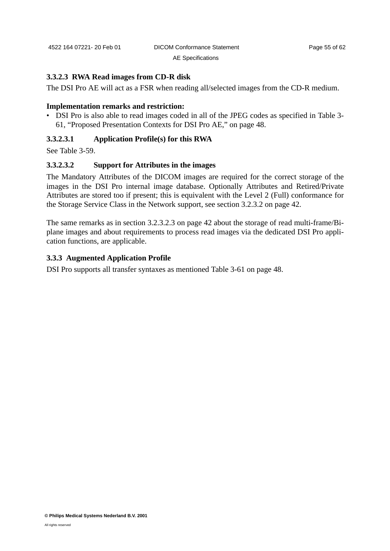#### **3.3.2.3 RWA Read images from CD-R disk**

The DSI Pro AE will act as a FSR when reading all/selected images from the CD-R medium.

#### **Implementation remarks and restriction:**

• DSI Pro is also able to read images coded in all of the JPEG codes as specified in [Table 3-](#page-51-0) [61, "Proposed Presentation Contexts for DSI Pro AE," on page 48.](#page-51-0)

#### **3.3.2.3.1 Application Profile(s) for this RWA**

See [Table 3-59.](#page-49-3)

#### **3.3.2.3.2 Support for Attributes in the images**

The Mandatory Attributes of the DICOM images are required for the correct storage of the images in the DSI Pro internal image database. Optionally Attributes and Retired/Private Attributes are stored too if present; this is equivalent with the Level 2 (Full) conformance for the Storage Service Class in the Network support, see [section 3.2.3.2 on page 42.](#page-45-0)

The same remarks as in [section 3.2.3.2.3 on page 42](#page-45-1) about the storage of read multi-frame/Biplane images and about requirements to process read images via the dedicated DSI Pro application functions, are applicable.

# <span id="page-58-0"></span>**3.3.3 Augmented Application Profile**

DSI Pro supports all transfer syntaxes as mentioned [Table 3-61 on page 48](#page-51-0).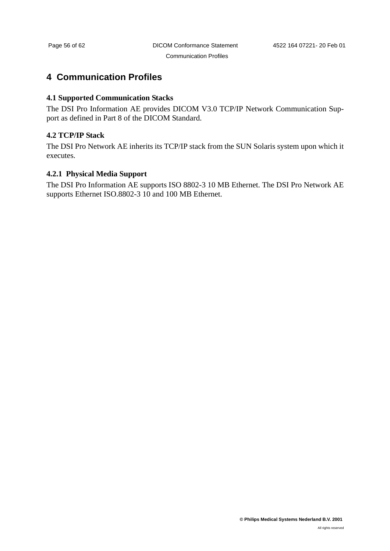# <span id="page-59-0"></span>**4 Communication Profiles**

# <span id="page-59-1"></span>**4.1 Supported Communication Stacks**

The DSI Pro Information AE provides DICOM V3.0 TCP/IP Network Communication Support as defined in Part 8 of the DICOM Standard.

# <span id="page-59-2"></span>**4.2 TCP/IP Stack**

The DSI Pro Network AE inherits its TCP/IP stack from the SUN Solaris system upon which it executes.

# <span id="page-59-3"></span>**4.2.1 Physical Media Support**

The DSI Pro Information AE supports ISO 8802-3 10 MB Ethernet. The DSI Pro Network AE supports Ethernet ISO.8802-3 10 and 100 MB Ethernet.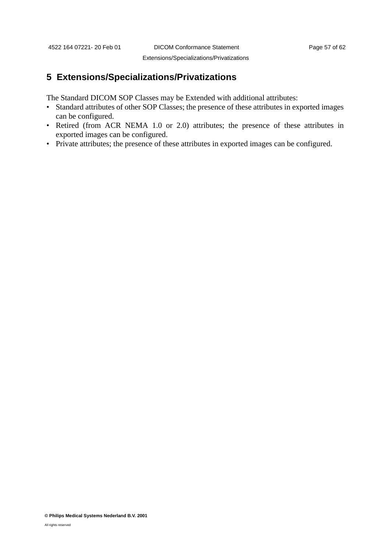Extensions/Specializations/Privatizations

# <span id="page-60-0"></span>**5 Extensions/Specializations/Privatizations**

The Standard DICOM SOP Classes may be Extended with additional attributes:

- Standard attributes of other SOP Classes; the presence of these attributes in exported images can be configured.
- Retired (from ACR NEMA 1.0 or 2.0) attributes; the presence of these attributes in exported images can be configured.
- Private attributes; the presence of these attributes in exported images can be configured.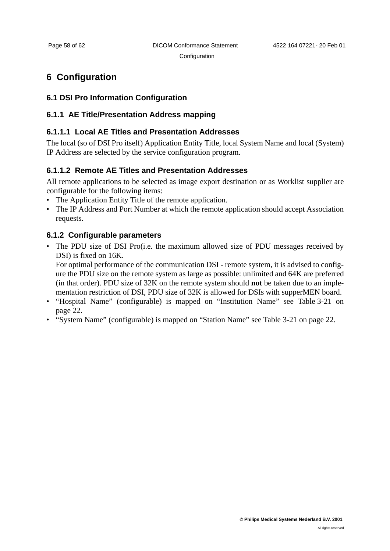#### **Configuration**

# <span id="page-61-0"></span>**6 Configuration**

# <span id="page-61-1"></span>**6.1 DSI Pro Information Configuration**

# <span id="page-61-2"></span>**6.1.1 AE Title/Presentation Address mapping**

# **6.1.1.1 Local AE Titles and Presentation Addresses**

The local (so of DSI Pro itself) Application Entity Title, local System Name and local (System) IP Address are selected by the service configuration program.

# **6.1.1.2 Remote AE Titles and Presentation Addresses**

All remote applications to be selected as image export destination or as Worklist supplier are configurable for the following items:

- The Application Entity Title of the remote application.
- The IP Address and Port Number at which the remote application should accept Association requests.

# <span id="page-61-3"></span>**6.1.2 Configurable parameters**

• The PDU size of DSI Pro(*i.e.* the maximum allowed size of PDU messages received by DSI) is fixed on 16K.

For optimal performance of the communication DSI - remote system, it is advised to configure the PDU size on the remote system as large as possible: unlimited and 64K are preferred (in that order). PDU size of 32K on the remote system should **not** be taken due to an implementation restriction of DSI, PDU size of 32K is allowed for DSIs with supperMEN board.

- "Hospital Name" (configurable) is mapped on "Institution Name" see [Table 3-21 on](#page-25-0) [page 22.](#page-25-0)
- "System Name" (configurable) is mapped on "Station Name" see [Table 3-21 on page 22](#page-25-0).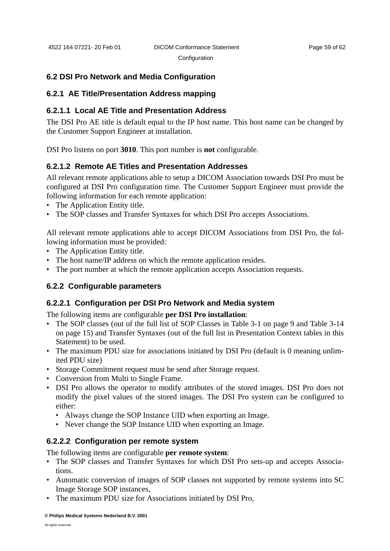**Configuration** 

# <span id="page-62-0"></span>**6.2 DSI Pro Network and Media Configuration**

# <span id="page-62-1"></span>**6.2.1 AE Title/Presentation Address mapping**

# **6.2.1.1 Local AE Title and Presentation Address**

The DSI Pro AE title is default equal to the IP host name. This host name can be changed by the Customer Support Engineer at installation.

DSI Pro listens on port **3010**. This port number is **not** configurable.

# **6.2.1.2 Remote AE Titles and Presentation Addresses**

All relevant remote applications able to setup a DICOM Association towards DSI Pro must be configured at DSI Pro configuration time. The Customer Support Engineer must provide the following information for each remote application:

- The Application Entity title.
- The SOP classes and Transfer Syntaxes for which DSI Pro accepts Associations.

All relevant remote applications able to accept DICOM Associations from DSI Pro, the following information must be provided:

- The Application Entity title.
- The host name/IP address on which the remote application resides.
- The port number at which the remote application accepts Association requests.

# <span id="page-62-2"></span>**6.2.2 Configurable parameters**

# **6.2.2.1 Configuration per DSI Pro Network and Media system**

The following items are configurable **per DSI Pro installation**:

- The SOP classes (out of the full list of SOP Classes in [Table 3-1 on page 9](#page-12-5) and [Table 3-14](#page-18-2) [on page 15\)](#page-18-2) and Transfer Syntaxes (out of the full list in Presentation Context tables in this Statement) to be used.
- The maximum PDU size for associations initiated by DSI Pro (default is 0 meaning unlimited PDU size)
- Storage Commitment request must be send after Storage request.
- Conversion from Multi to Single Frame.
- DSI Pro allows the operator to modify attributes of the stored images. DSI Pro does not modify the pixel values of the stored images. The DSI Pro system can be configured to either:
	- Always change the SOP Instance UID when exporting an Image.
	- Never change the SOP Instance UID when exporting an Image.

# **6.2.2.2 Configuration per remote system**

The following items are configurable **per remote system**:

- The SOP classes and Transfer Syntaxes for which DSI Pro sets-up and accepts Associations.
- Automatic conversion of images of SOP classes not supported by remote systems into SC Image Storage SOP instances,
- The maximum PDU size for Associations initiated by DSI Pro,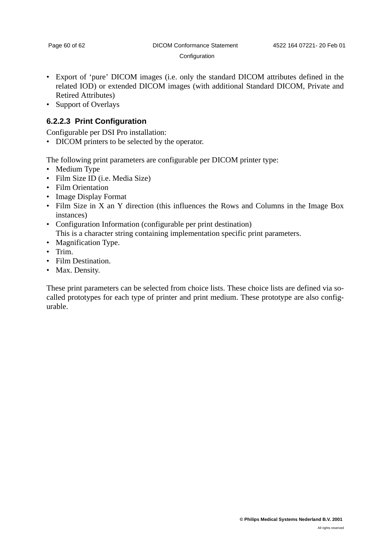#### **Configuration**

- Export of 'pure' DICOM images (i.e. only the standard DICOM attributes defined in the related IOD) or extended DICOM images (with additional Standard DICOM, Private and Retired Attributes)
- Support of Overlays

# **6.2.2.3 Print Configuration**

Configurable per DSI Pro installation:

• DICOM printers to be selected by the operator.

The following print parameters are configurable per DICOM printer type:

- Medium Type
- Film Size ID (i.e. Media Size)
- Film Orientation
- Image Display Format
- Film Size in X an Y direction (this influences the Rows and Columns in the Image Box instances)
- Configuration Information (configurable per print destination) This is a character string containing implementation specific print parameters.
- Magnification Type.
- Trim.
- Film Destination.
- Max. Density.

These print parameters can be selected from choice lists. These choice lists are defined via socalled prototypes for each type of printer and print medium. These prototype are also configurable.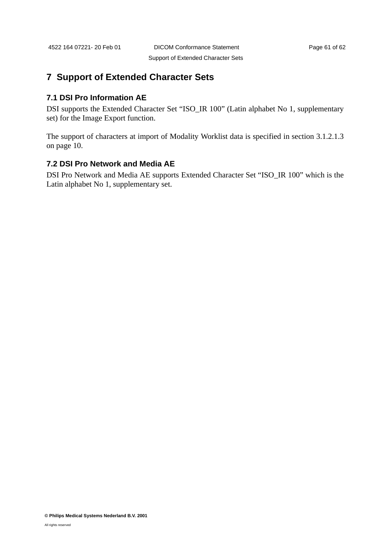Support of Extended Character Sets

# <span id="page-64-0"></span>**7 Support of Extended Character Sets**

# <span id="page-64-1"></span>**7.1 DSI Pro Information AE**

DSI supports the Extended Character Set "ISO\_IR 100" (Latin alphabet No 1, supplementary set) for the Image Export function.

The support of characters at import of Modality Worklist data is specified in [section 3.1.2.1.3](#page-13-0) [on page 10.](#page-13-0)

# <span id="page-64-2"></span>**7.2 DSI Pro Network and Media AE**

DSI Pro Network and Media AE supports Extended Character Set "ISO\_IR 100" which is the Latin alphabet No 1, supplementary set.